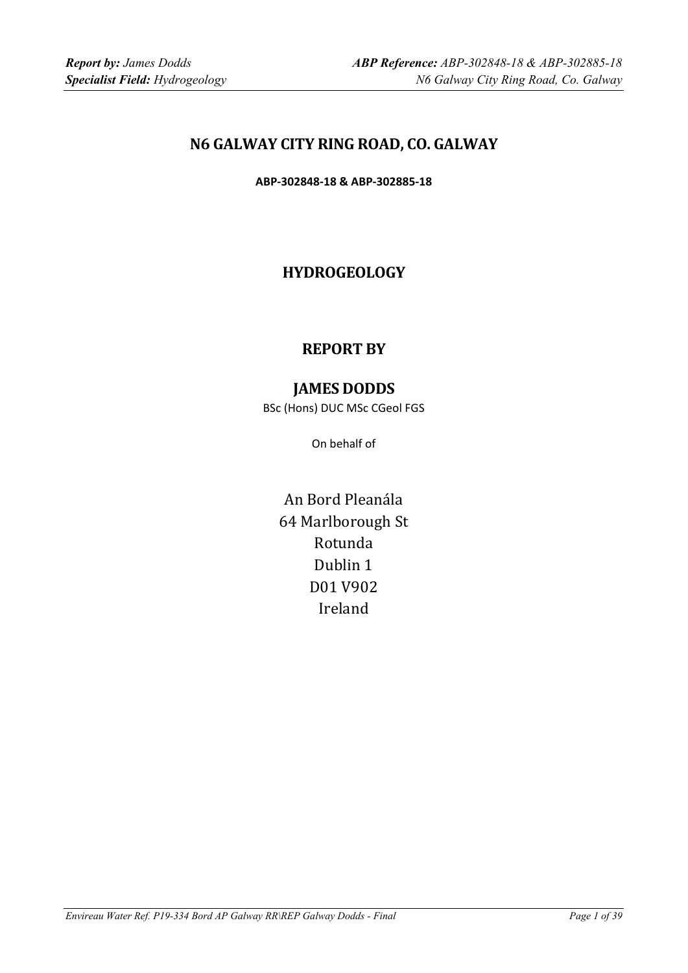# **N6 GALWAY CITY RING ROAD, CO. GALWAY**

**ABP‐302848‐18 & ABP‐302885‐18**

# **HYDROGEOLOGY**

# **REPORT BY**

# **JAMES DODDS**

BSc (Hons) DUC MSc CGeol FGS

On behalf of

An Bord Pleanála 64 Marlborough St Rotunda Dublin 1 D01 V902 Ireland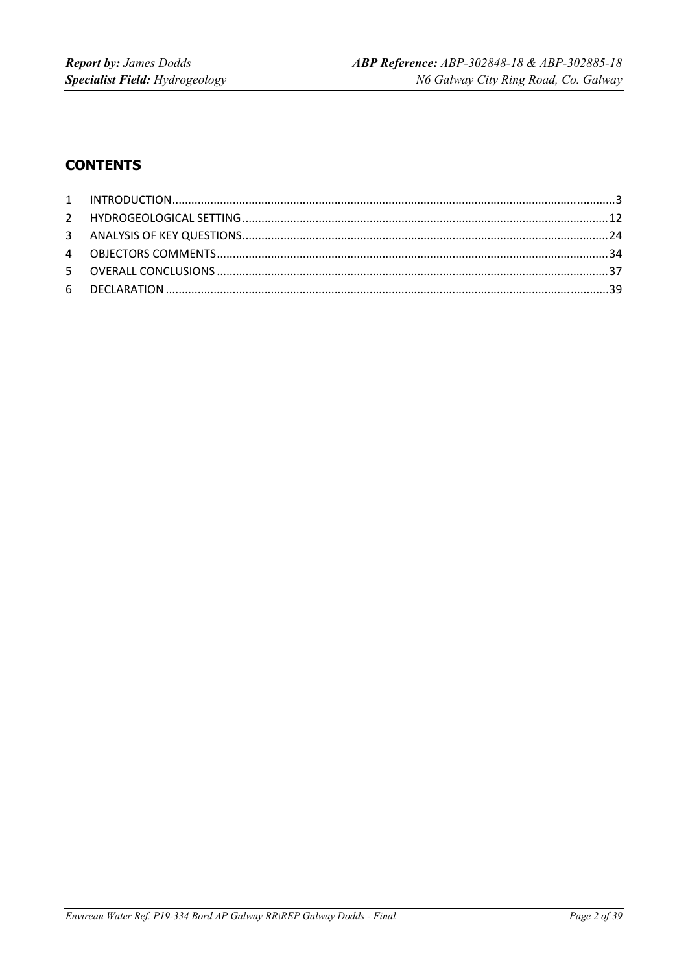# **CONTENTS**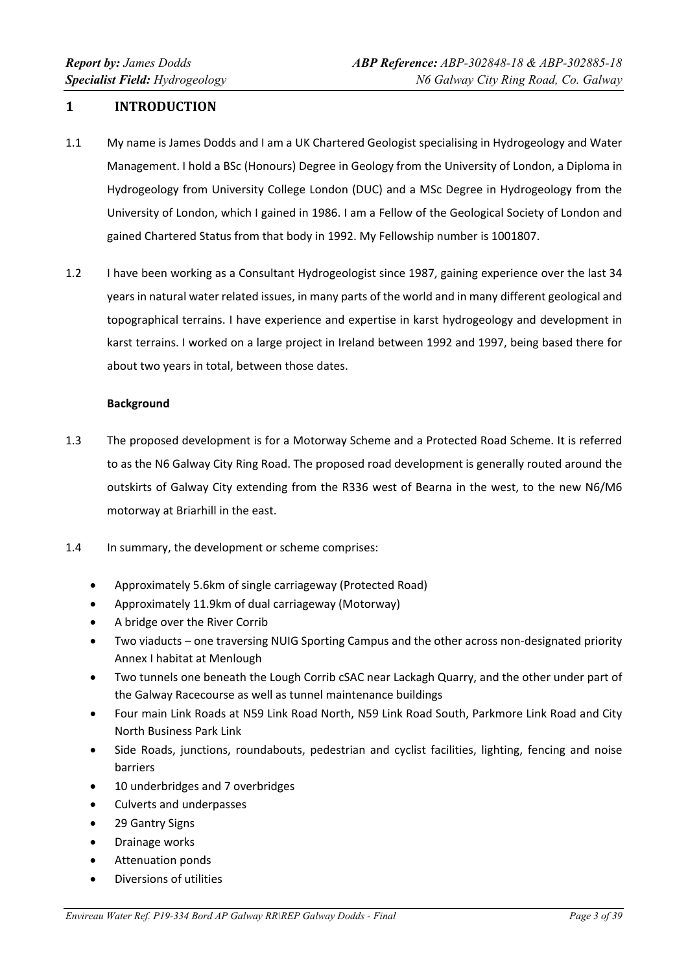## **1 INTRODUCTION**

- 1.1 My name is James Dodds and I am a UK Chartered Geologist specialising in Hydrogeology and Water Management. I hold a BSc (Honours) Degree in Geology from the University of London, a Diploma in Hydrogeology from University College London (DUC) and a MSc Degree in Hydrogeology from the University of London, which I gained in 1986. I am a Fellow of the Geological Society of London and gained Chartered Status from that body in 1992. My Fellowship number is 1001807.
- 1.2 I have been working as a Consultant Hydrogeologist since 1987, gaining experience over the last 34 years in natural water related issues, in many parts of the world and in many different geological and topographical terrains. I have experience and expertise in karst hydrogeology and development in karst terrains. I worked on a large project in Ireland between 1992 and 1997, being based there for about two years in total, between those dates.

#### **Background**

- 1.3 The proposed development is for a Motorway Scheme and a Protected Road Scheme. It is referred to as the N6 Galway City Ring Road. The proposed road development is generally routed around the outskirts of Galway City extending from the R336 west of Bearna in the west, to the new N6/M6 motorway at Briarhill in the east.
- 1.4 In summary, the development or scheme comprises:
	- Approximately 5.6km of single carriageway (Protected Road)
	- Approximately 11.9km of dual carriageway (Motorway)
	- A bridge over the River Corrib
	- Two viaducts one traversing NUIG Sporting Campus and the other across non‐designated priority Annex I habitat at Menlough
	- Two tunnels one beneath the Lough Corrib cSAC near Lackagh Quarry, and the other under part of the Galway Racecourse as well as tunnel maintenance buildings
	- Four main Link Roads at N59 Link Road North, N59 Link Road South, Parkmore Link Road and City North Business Park Link
	- Side Roads, junctions, roundabouts, pedestrian and cyclist facilities, lighting, fencing and noise barriers
	- 10 underbridges and 7 overbridges
	- Culverts and underpasses
	- 29 Gantry Signs
	- Drainage works
	- Attenuation ponds
	- Diversions of utilities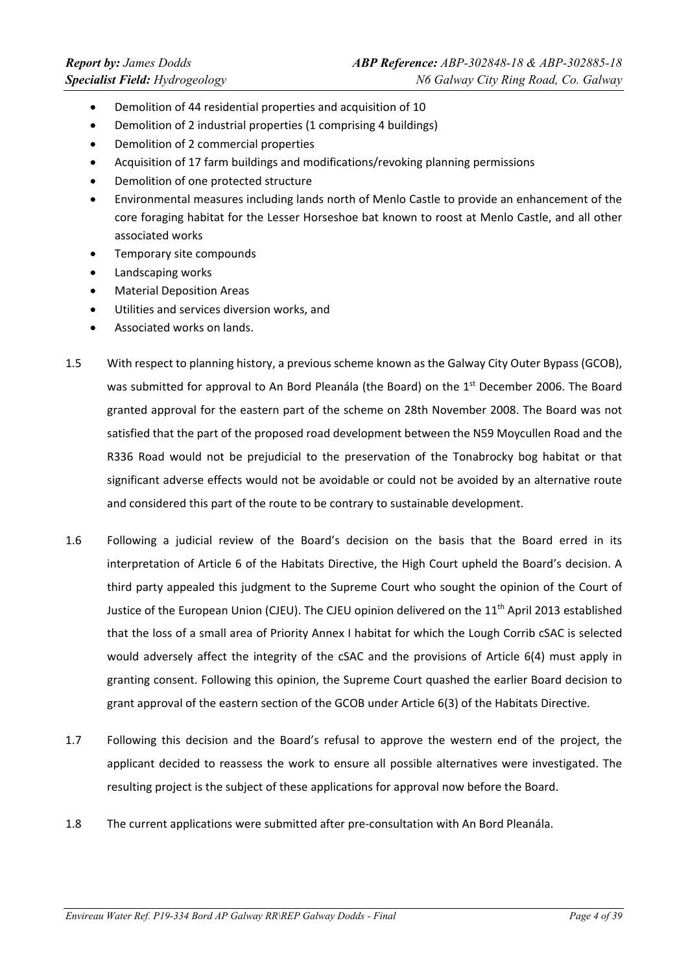- Demolition of 44 residential properties and acquisition of 10
- Demolition of 2 industrial properties (1 comprising 4 buildings)
- Demolition of 2 commercial properties
- Acquisition of 17 farm buildings and modifications/revoking planning permissions
- Demolition of one protected structure
- Environmental measures including lands north of Menlo Castle to provide an enhancement of the core foraging habitat for the Lesser Horseshoe bat known to roost at Menlo Castle, and all other associated works
- Temporary site compounds
- Landscaping works
- Material Deposition Areas
- Utilities and services diversion works, and
- Associated works on lands.
- 1.5 With respect to planning history, a previous scheme known as the Galway City Outer Bypass (GCOB), was submitted for approval to An Bord Pleanála (the Board) on the 1st December 2006. The Board granted approval for the eastern part of the scheme on 28th November 2008. The Board was not satisfied that the part of the proposed road development between the N59 Moycullen Road and the R336 Road would not be prejudicial to the preservation of the Tonabrocky bog habitat or that significant adverse effects would not be avoidable or could not be avoided by an alternative route and considered this part of the route to be contrary to sustainable development.
- 1.6 Following a judicial review of the Board's decision on the basis that the Board erred in its interpretation of Article 6 of the Habitats Directive, the High Court upheld the Board's decision. A third party appealed this judgment to the Supreme Court who sought the opinion of the Court of Justice of the European Union (CJEU). The CJEU opinion delivered on the 11<sup>th</sup> April 2013 established that the loss of a small area of Priority Annex I habitat for which the Lough Corrib cSAC is selected would adversely affect the integrity of the cSAC and the provisions of Article 6(4) must apply in granting consent. Following this opinion, the Supreme Court quashed the earlier Board decision to grant approval of the eastern section of the GCOB under Article 6(3) of the Habitats Directive.
- 1.7 Following this decision and the Board's refusal to approve the western end of the project, the applicant decided to reassess the work to ensure all possible alternatives were investigated. The resulting project is the subject of these applications for approval now before the Board.
- 1.8 The current applications were submitted after pre-consultation with An Bord Pleanála.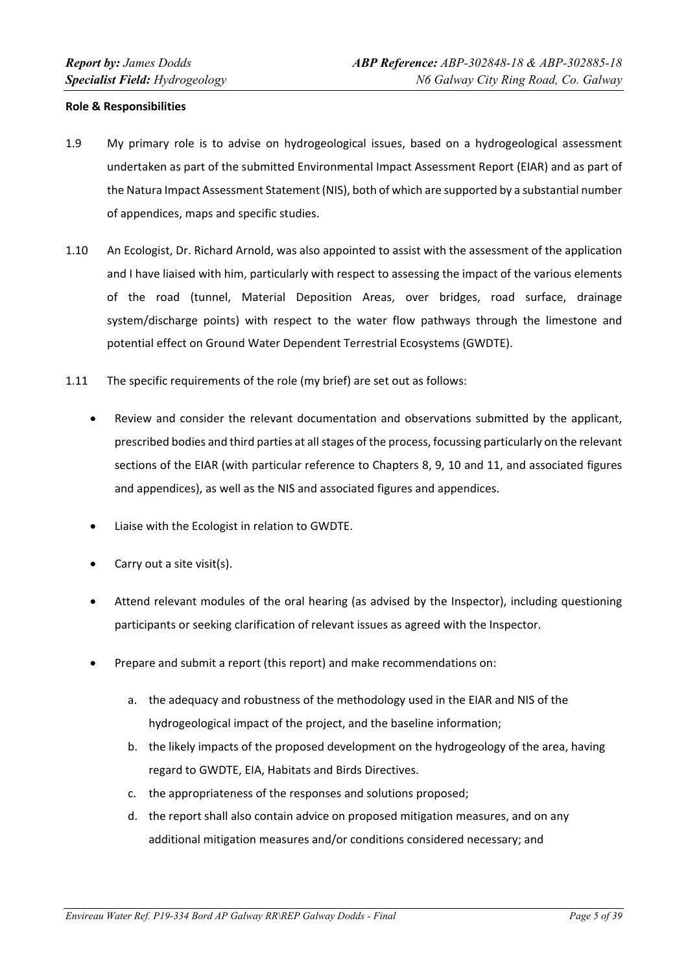#### **Role & Responsibilities**

- 1.9 My primary role is to advise on hydrogeological issues, based on a hydrogeological assessment undertaken as part of the submitted Environmental Impact Assessment Report (EIAR) and as part of the Natura Impact Assessment Statement (NIS), both of which are supported by a substantial number of appendices, maps and specific studies.
- 1.10 An Ecologist, Dr. Richard Arnold, was also appointed to assist with the assessment of the application and I have liaised with him, particularly with respect to assessing the impact of the various elements of the road (tunnel, Material Deposition Areas, over bridges, road surface, drainage system/discharge points) with respect to the water flow pathways through the limestone and potential effect on Ground Water Dependent Terrestrial Ecosystems (GWDTE).
- 1.11 The specific requirements of the role (my brief) are set out as follows:
	- Review and consider the relevant documentation and observations submitted by the applicant, prescribed bodies and third parties at allstages of the process, focussing particularly on the relevant sections of the EIAR (with particular reference to Chapters 8, 9, 10 and 11, and associated figures and appendices), as well as the NIS and associated figures and appendices.
	- Liaise with the Ecologist in relation to GWDTE.
	- Carry out a site visit(s).
	- Attend relevant modules of the oral hearing (as advised by the Inspector), including questioning participants or seeking clarification of relevant issues as agreed with the Inspector.
	- Prepare and submit a report (this report) and make recommendations on:
		- a. the adequacy and robustness of the methodology used in the EIAR and NIS of the hydrogeological impact of the project, and the baseline information;
		- b. the likely impacts of the proposed development on the hydrogeology of the area, having regard to GWDTE, EIA, Habitats and Birds Directives.
		- c. the appropriateness of the responses and solutions proposed;
		- d. the report shall also contain advice on proposed mitigation measures, and on any additional mitigation measures and/or conditions considered necessary; and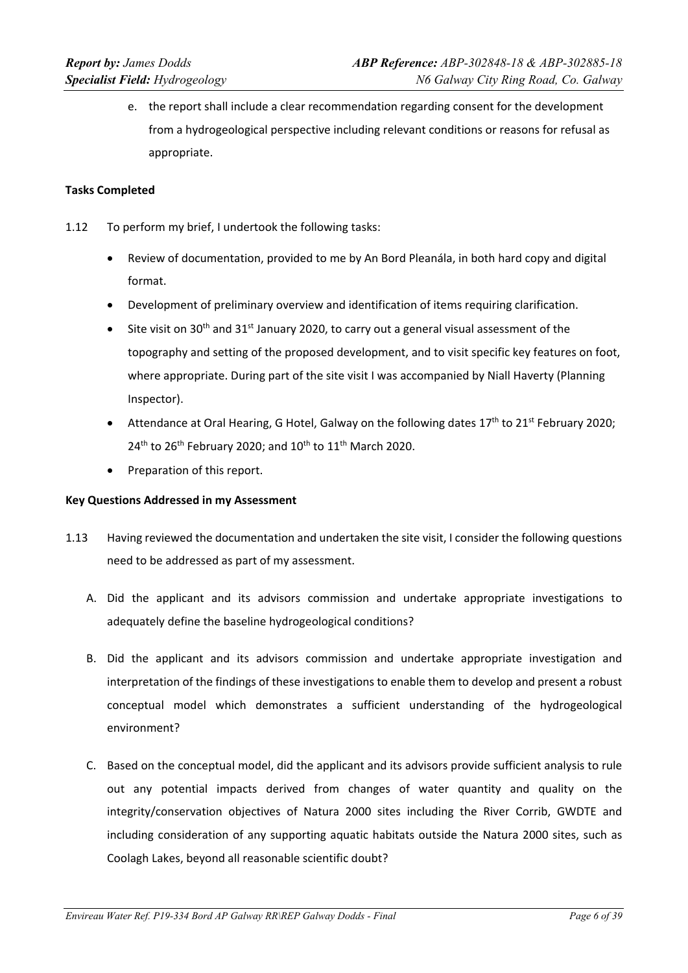e. the report shall include a clear recommendation regarding consent for the development from a hydrogeological perspective including relevant conditions or reasons for refusal as appropriate.

#### **Tasks Completed**

- 1.12 To perform my brief, I undertook the following tasks:
	- Review of documentation, provided to me by An Bord Pleanála, in both hard copy and digital format.
	- Development of preliminary overview and identification of items requiring clarification.
	- Site visit on 30<sup>th</sup> and 31<sup>st</sup> January 2020, to carry out a general visual assessment of the topography and setting of the proposed development, and to visit specific key features on foot, where appropriate. During part of the site visit I was accompanied by Niall Haverty (Planning Inspector).
	- Attendance at Oral Hearing, G Hotel, Galway on the following dates  $17<sup>th</sup>$  to  $21<sup>st</sup>$  February 2020;  $24<sup>th</sup>$  to 26<sup>th</sup> February 2020; and 10<sup>th</sup> to 11<sup>th</sup> March 2020.
	- Preparation of this report.

#### **Key Questions Addressed in my Assessment**

- 1.13 Having reviewed the documentation and undertaken the site visit, I consider the following questions need to be addressed as part of my assessment.
	- A. Did the applicant and its advisors commission and undertake appropriate investigations to adequately define the baseline hydrogeological conditions?
	- B. Did the applicant and its advisors commission and undertake appropriate investigation and interpretation of the findings of these investigations to enable them to develop and present a robust conceptual model which demonstrates a sufficient understanding of the hydrogeological environment?
	- C. Based on the conceptual model, did the applicant and its advisors provide sufficient analysis to rule out any potential impacts derived from changes of water quantity and quality on the integrity/conservation objectives of Natura 2000 sites including the River Corrib, GWDTE and including consideration of any supporting aquatic habitats outside the Natura 2000 sites, such as Coolagh Lakes, beyond all reasonable scientific doubt?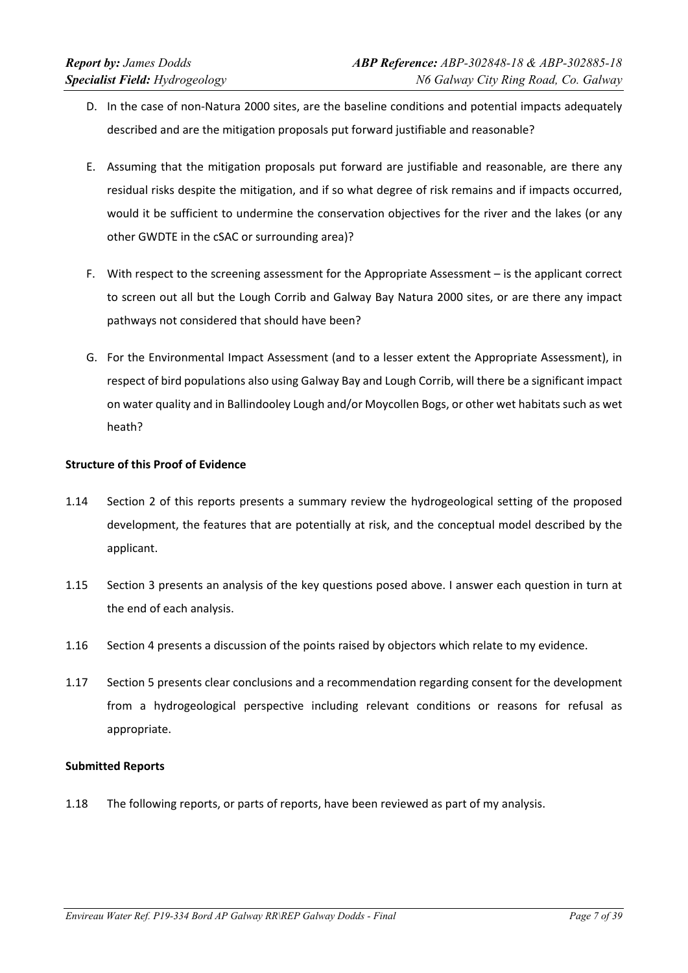- D. In the case of non-Natura 2000 sites, are the baseline conditions and potential impacts adequately described and are the mitigation proposals put forward justifiable and reasonable?
- E. Assuming that the mitigation proposals put forward are justifiable and reasonable, are there any residual risks despite the mitigation, and if so what degree of risk remains and if impacts occurred, would it be sufficient to undermine the conservation objectives for the river and the lakes (or any other GWDTE in the cSAC or surrounding area)?
- F. With respect to the screening assessment for the Appropriate Assessment is the applicant correct to screen out all but the Lough Corrib and Galway Bay Natura 2000 sites, or are there any impact pathways not considered that should have been?
- G. For the Environmental Impact Assessment (and to a lesser extent the Appropriate Assessment), in respect of bird populations also using Galway Bay and Lough Corrib, will there be a significant impact on water quality and in Ballindooley Lough and/or Moycollen Bogs, or other wet habitats such as wet heath?

# **Structure of this Proof of Evidence**

- 1.14 Section 2 of this reports presents a summary review the hydrogeological setting of the proposed development, the features that are potentially at risk, and the conceptual model described by the applicant.
- 1.15 Section 3 presents an analysis of the key questions posed above. I answer each question in turn at the end of each analysis.
- 1.16 Section 4 presents a discussion of the points raised by objectors which relate to my evidence.
- 1.17 Section 5 presents clear conclusions and a recommendation regarding consent for the development from a hydrogeological perspective including relevant conditions or reasons for refusal as appropriate.

#### **Submitted Reports**

1.18 The following reports, or parts of reports, have been reviewed as part of my analysis.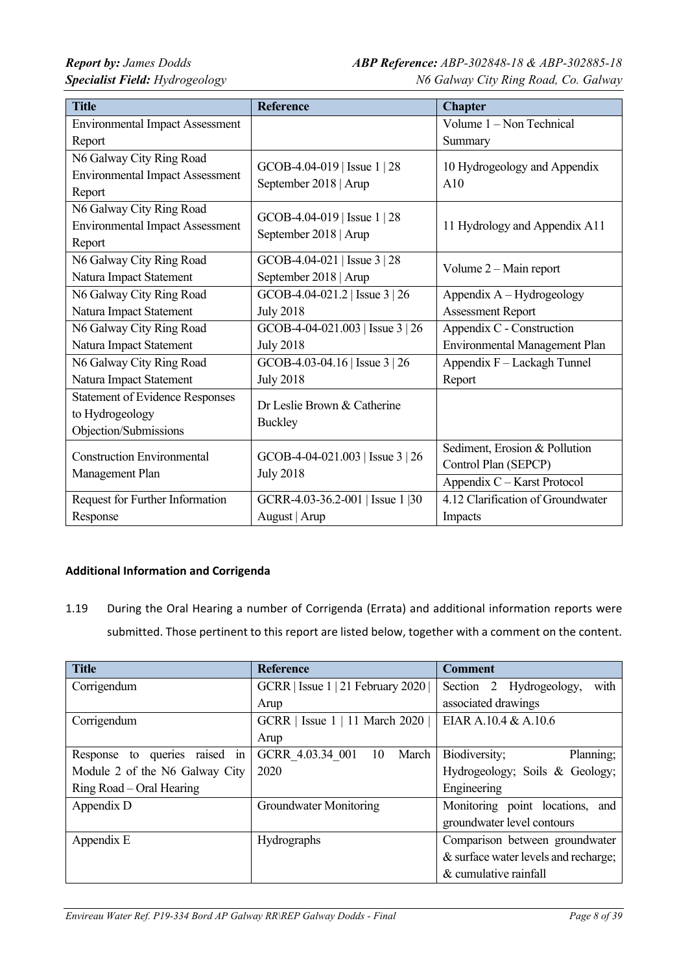| <b>Title</b>                           | <b>Reference</b>                                          | <b>Chapter</b>                    |  |
|----------------------------------------|-----------------------------------------------------------|-----------------------------------|--|
| <b>Environmental Impact Assessment</b> |                                                           | Volume 1 - Non Technical          |  |
| Report                                 |                                                           | Summary                           |  |
| N6 Galway City Ring Road               | GCOB-4.04-019   Issue 1   28                              | 10 Hydrogeology and Appendix      |  |
| <b>Environmental Impact Assessment</b> | September 2018   Arup                                     | A10                               |  |
| Report                                 |                                                           |                                   |  |
| N6 Galway City Ring Road               |                                                           |                                   |  |
| <b>Environmental Impact Assessment</b> | GCOB-4.04-019   Issue $1 \mid 28$                         | 11 Hydrology and Appendix A11     |  |
| Report                                 | September 2018   Arup                                     |                                   |  |
| N6 Galway City Ring Road               | GCOB-4.04-021   Issue $3 \mid 28$                         |                                   |  |
| Natura Impact Statement                | September 2018   Arup                                     | Volume 2 - Main report            |  |
| N6 Galway City Ring Road               | GCOB-4.04-021.2   Issue 3   26                            | Appendix A - Hydrogeology         |  |
| Natura Impact Statement                | <b>July 2018</b>                                          | <b>Assessment Report</b>          |  |
| N6 Galway City Ring Road               | GCOB-4-04-021.003   Issue 3   26                          | Appendix C - Construction         |  |
| Natura Impact Statement                | <b>July 2018</b>                                          | Environmental Management Plan     |  |
| N6 Galway City Ring Road               | GCOB-4.03-04.16   Issue $3 \mid 26$                       | Appendix F - Lackagh Tunnel       |  |
| Natura Impact Statement                | <b>July 2018</b>                                          | Report                            |  |
| <b>Statement of Evidence Responses</b> | Dr Leslie Brown & Catherine                               |                                   |  |
| to Hydrogeology                        | <b>Buckley</b>                                            |                                   |  |
| Objection/Submissions                  |                                                           |                                   |  |
| <b>Construction Environmental</b>      | GCOB-4-04-021.003   Issue $3 \mid 26$<br><b>July 2018</b> | Sediment, Erosion & Pollution     |  |
| Management Plan                        |                                                           | Control Plan (SEPCP)              |  |
|                                        |                                                           | Appendix C - Karst Protocol       |  |
| Request for Further Information        | GCRR-4.03-36.2-001   Issue 1   30                         | 4.12 Clarification of Groundwater |  |
| Response                               | August   Arup                                             | Impacts                           |  |

## **Additional Information and Corrigenda**

1.19 During the Oral Hearing a number of Corrigenda (Errata) and additional information reports were submitted. Those pertinent to this report are listed below, together with a comment on the content.

| <b>Title</b>                     | <b>Reference</b>                  | <b>Comment</b>                       |
|----------------------------------|-----------------------------------|--------------------------------------|
| Corrigendum                      | GCRR   Issue 1   21 February 2020 | Section 2 Hydrogeology,<br>with      |
|                                  | Arup                              | associated drawings                  |
| Corrigendum                      | GCRR   Issue 1   11 March 2020    | EIAR A.10.4 & A.10.6                 |
|                                  | Arup                              |                                      |
| to queries raised in<br>Response | GCRR 4.03.34 001<br>March<br>10   | Biodiversity;<br>Planning;           |
| Module 2 of the N6 Galway City   | 2020                              | Hydrogeology; Soils & Geology;       |
| Ring Road – Oral Hearing         |                                   | Engineering                          |
| Appendix D                       | Groundwater Monitoring            | Monitoring point locations, and      |
|                                  |                                   | groundwater level contours           |
| Appendix E                       | Hydrographs                       | Comparison between groundwater       |
|                                  |                                   | & surface water levels and recharge; |
|                                  |                                   | & cumulative rainfall                |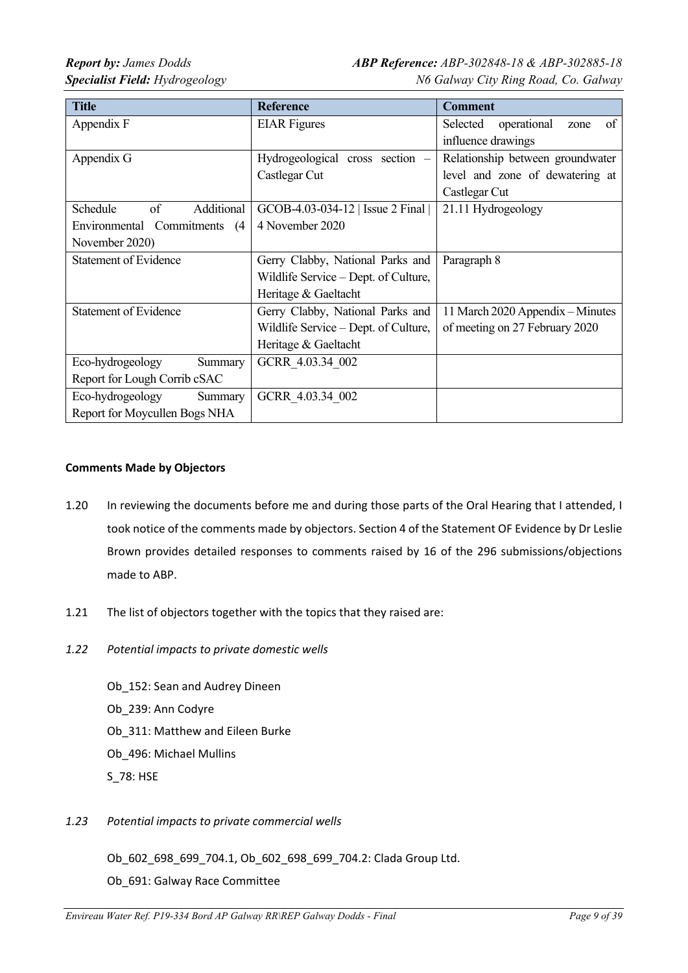| <b>Title</b>                  | <b>Reference</b>                     | <b>Comment</b>                        |
|-------------------------------|--------------------------------------|---------------------------------------|
| Appendix F                    | <b>EIAR</b> Figures                  | of<br>operational<br>Selected<br>zone |
|                               |                                      | influence drawings                    |
| Appendix G                    | Hydrogeological cross section -      | Relationship between groundwater      |
|                               | Castlegar Cut                        | level and zone of dewatering at       |
|                               |                                      | Castlegar Cut                         |
| Schedule<br>of<br>Additional  | GCOB-4.03-034-12   Issue 2 Final     | 21.11 Hydrogeology                    |
| Environmental Commitments (4) | 4 November 2020                      |                                       |
| November 2020)                |                                      |                                       |
| <b>Statement of Evidence</b>  | Gerry Clabby, National Parks and     | Paragraph 8                           |
|                               | Wildlife Service – Dept. of Culture, |                                       |
|                               | Heritage & Gaeltacht                 |                                       |
| <b>Statement of Evidence</b>  | Gerry Clabby, National Parks and     | 11 March 2020 Appendix – Minutes      |
|                               | Wildlife Service – Dept. of Culture, | of meeting on 27 February 2020        |
|                               | Heritage & Gaeltacht                 |                                       |
| Eco-hydrogeology<br>Summary   | GCRR 4.03.34 002                     |                                       |
| Report for Lough Corrib cSAC  |                                      |                                       |
| Eco-hydrogeology<br>Summary   | GCRR 4.03.34 002                     |                                       |
| Report for Moycullen Bogs NHA |                                      |                                       |

## **Comments Made by Objectors**

- 1.20 In reviewing the documents before me and during those parts of the Oral Hearing that I attended, I took notice of the comments made by objectors. Section 4 of the Statement OF Evidence by Dr Leslie Brown provides detailed responses to comments raised by 16 of the 296 submissions/objections made to ABP.
- 1.21 The list of objectors together with the topics that they raised are:
- *1.22 Potential impacts to private domestic wells*

Ob\_152: Sean and Audrey Dineen Ob\_239: Ann Codyre Ob\_311: Matthew and Eileen Burke Ob\_496: Michael Mullins S\_78: HSE

*1.23 Potential impacts to private commercial wells*

Ob\_602\_698\_699\_704.1, Ob\_602\_698\_699\_704.2: Clada Group Ltd. Ob\_691: Galway Race Committee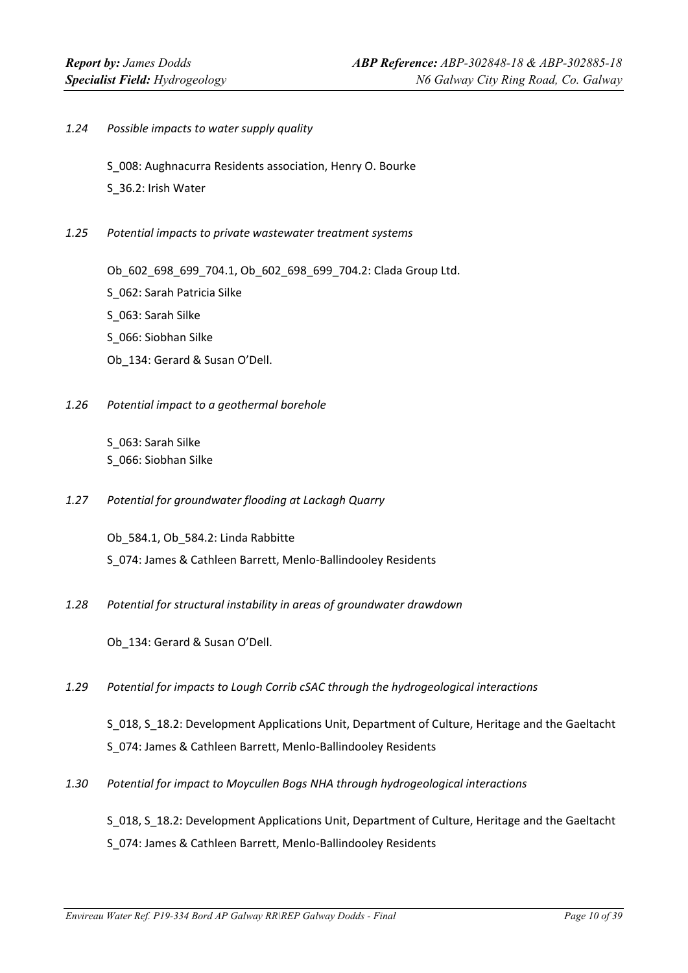*1.24 Possible impacts to water supply quality*

S\_008: Aughnacurra Residents association, Henry O. Bourke

- S\_36.2: Irish Water
- *1.25 Potential impacts to private wastewater treatment systems*

Ob\_602\_698\_699\_704.1, Ob\_602\_698\_699\_704.2: Clada Group Ltd.

- S\_062: Sarah Patricia Silke
- S\_063: Sarah Silke
- S\_066: Siobhan Silke
- Ob\_134: Gerard & Susan O'Dell.
- *1.26 Potential impact to a geothermal borehole*

S\_063: Sarah Silke S\_066: Siobhan Silke

*1.27 Potential for groundwater flooding at Lackagh Quarry*

Ob\_584.1, Ob\_584.2: Linda Rabbitte S\_074: James & Cathleen Barrett, Menlo‐Ballindooley Residents

*1.28 Potential for structural instability in areas of groundwater drawdown*

Ob\_134: Gerard & Susan O'Dell.

*1.29 Potential for impacts to Lough Corrib cSAC through the hydrogeological interactions*

S\_018, S\_18.2: Development Applications Unit, Department of Culture, Heritage and the Gaeltacht S\_074: James & Cathleen Barrett, Menlo‐Ballindooley Residents

*1.30 Potential for impact to Moycullen Bogs NHA through hydrogeological interactions*

S 018, S 18.2: Development Applications Unit, Department of Culture, Heritage and the Gaeltacht S\_074: James & Cathleen Barrett, Menlo‐Ballindooley Residents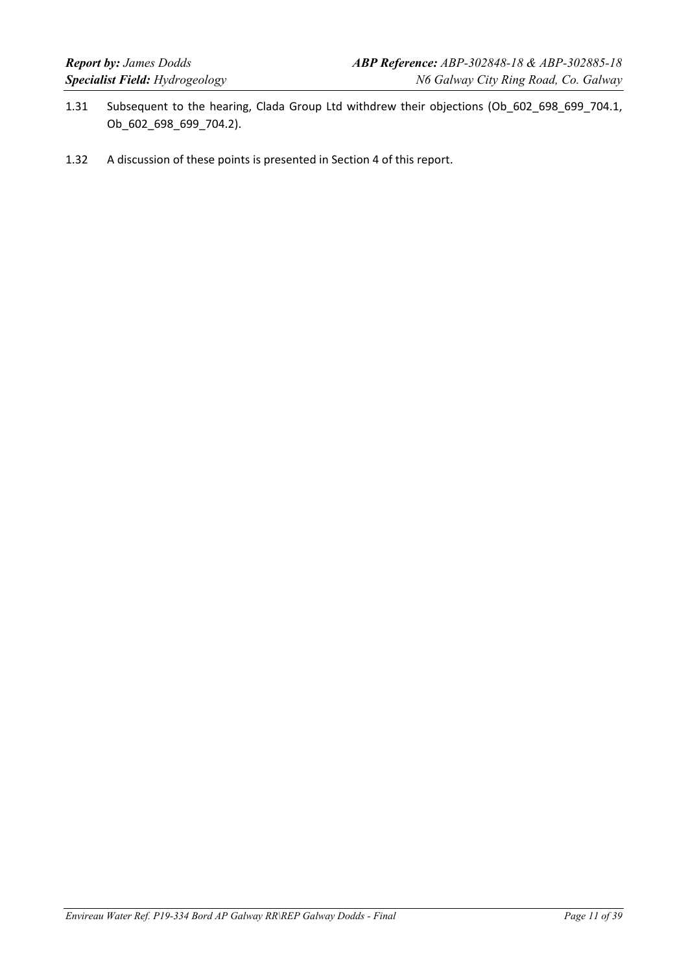- 1.31 Subsequent to the hearing, Clada Group Ltd withdrew their objections (Ob\_602\_698\_699\_704.1, Ob\_602\_698\_699\_704.2).
- 1.32 A discussion of these points is presented in Section 4 of this report.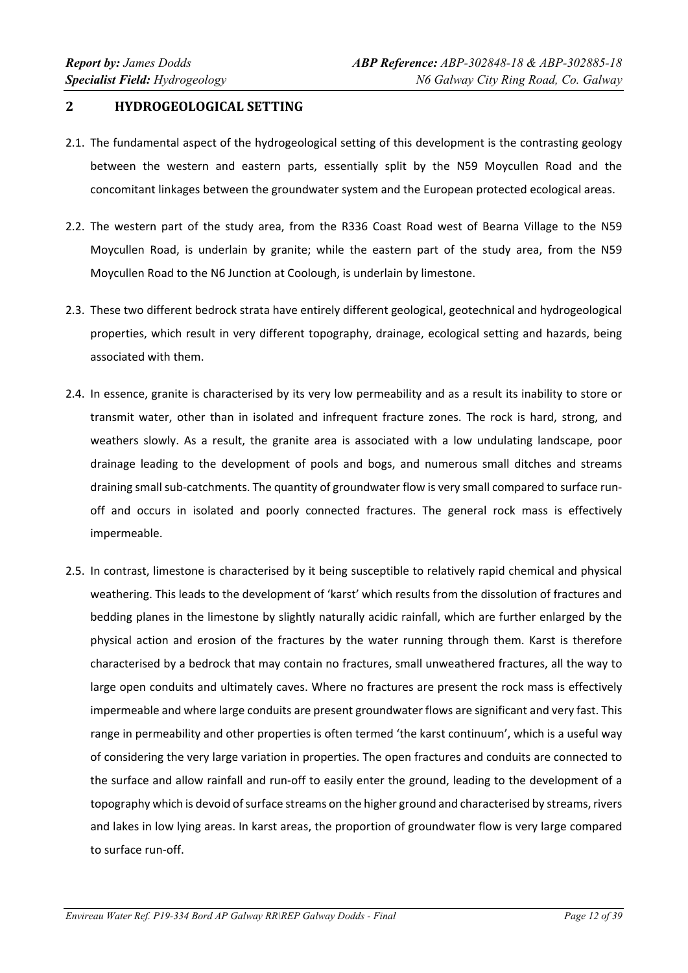## **2 HYDROGEOLOGICAL SETTING**

- 2.1. The fundamental aspect of the hydrogeological setting of this development is the contrasting geology between the western and eastern parts, essentially split by the N59 Moycullen Road and the concomitant linkages between the groundwater system and the European protected ecological areas.
- 2.2. The western part of the study area, from the R336 Coast Road west of Bearna Village to the N59 Moycullen Road, is underlain by granite; while the eastern part of the study area, from the N59 Moycullen Road to the N6 Junction at Coolough, is underlain by limestone.
- 2.3. These two different bedrock strata have entirely different geological, geotechnical and hydrogeological properties, which result in very different topography, drainage, ecological setting and hazards, being associated with them.
- 2.4. In essence, granite is characterised by its very low permeability and as a result its inability to store or transmit water, other than in isolated and infrequent fracture zones. The rock is hard, strong, and weathers slowly. As a result, the granite area is associated with a low undulating landscape, poor drainage leading to the development of pools and bogs, and numerous small ditches and streams draining small sub-catchments. The quantity of groundwater flow is very small compared to surface runoff and occurs in isolated and poorly connected fractures. The general rock mass is effectively impermeable.
- 2.5. In contrast, limestone is characterised by it being susceptible to relatively rapid chemical and physical weathering. This leads to the development of 'karst' which results from the dissolution of fractures and bedding planes in the limestone by slightly naturally acidic rainfall, which are further enlarged by the physical action and erosion of the fractures by the water running through them. Karst is therefore characterised by a bedrock that may contain no fractures, small unweathered fractures, all the way to large open conduits and ultimately caves. Where no fractures are present the rock mass is effectively impermeable and where large conduits are present groundwater flows are significant and very fast. This range in permeability and other properties is often termed 'the karst continuum', which is a useful way of considering the very large variation in properties. The open fractures and conduits are connected to the surface and allow rainfall and run‐off to easily enter the ground, leading to the development of a topography which is devoid of surface streams on the higher ground and characterised by streams, rivers and lakes in low lying areas. In karst areas, the proportion of groundwater flow is very large compared to surface run‐off.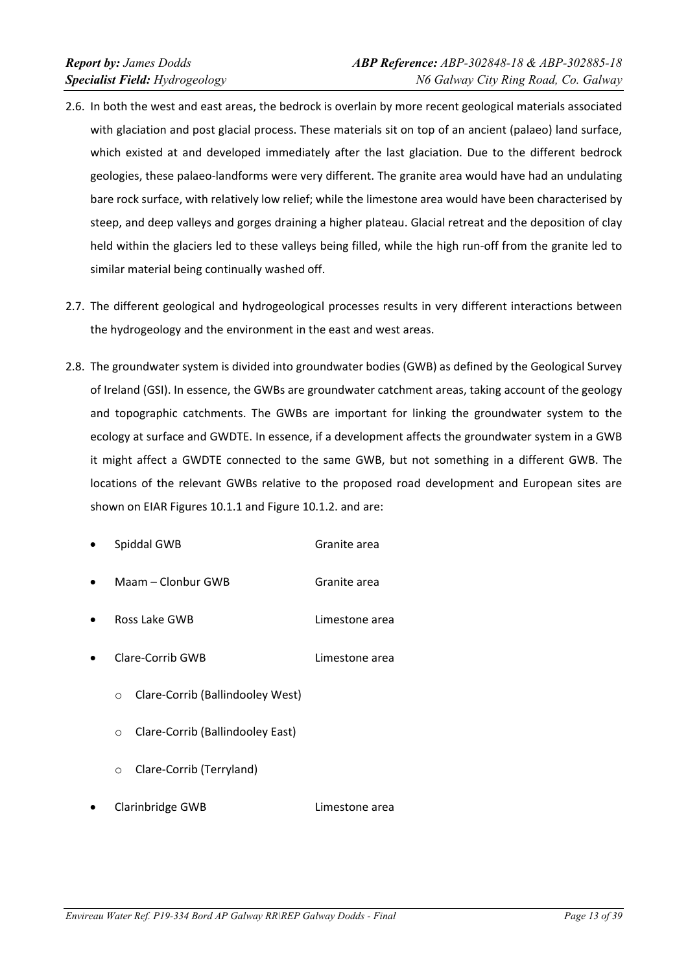- 2.6. In both the west and east areas, the bedrock is overlain by more recent geological materials associated with glaciation and post glacial process. These materials sit on top of an ancient (palaeo) land surface, which existed at and developed immediately after the last glaciation. Due to the different bedrock geologies, these palaeo‐landforms were very different. The granite area would have had an undulating bare rock surface, with relatively low relief; while the limestone area would have been characterised by steep, and deep valleys and gorges draining a higher plateau. Glacial retreat and the deposition of clay held within the glaciers led to these valleys being filled, while the high run-off from the granite led to similar material being continually washed off.
- 2.7. The different geological and hydrogeological processes results in very different interactions between the hydrogeology and the environment in the east and west areas.
- 2.8. The groundwater system is divided into groundwater bodies (GWB) as defined by the Geological Survey of Ireland (GSI). In essence, the GWBs are groundwater catchment areas, taking account of the geology and topographic catchments. The GWBs are important for linking the groundwater system to the ecology at surface and GWDTE. In essence, if a development affects the groundwater system in a GWB it might affect a GWDTE connected to the same GWB, but not something in a different GWB. The locations of the relevant GWBs relative to the proposed road development and European sites are shown on EIAR Figures 10.1.1 and Figure 10.1.2. and are:
	- Spiddal GWB Granite area
	- Maam Clonbur GWB 6ranite area
	- Ross Lake GWB Limestone area
	- Clare‐Corrib GWB Limestone area
		- o Clare‐Corrib (Ballindooley West)
		- o Clare‐Corrib (Ballindooley East)
		- o Clare‐Corrib (Terryland)
	- Clarinbridge GWB Limestone area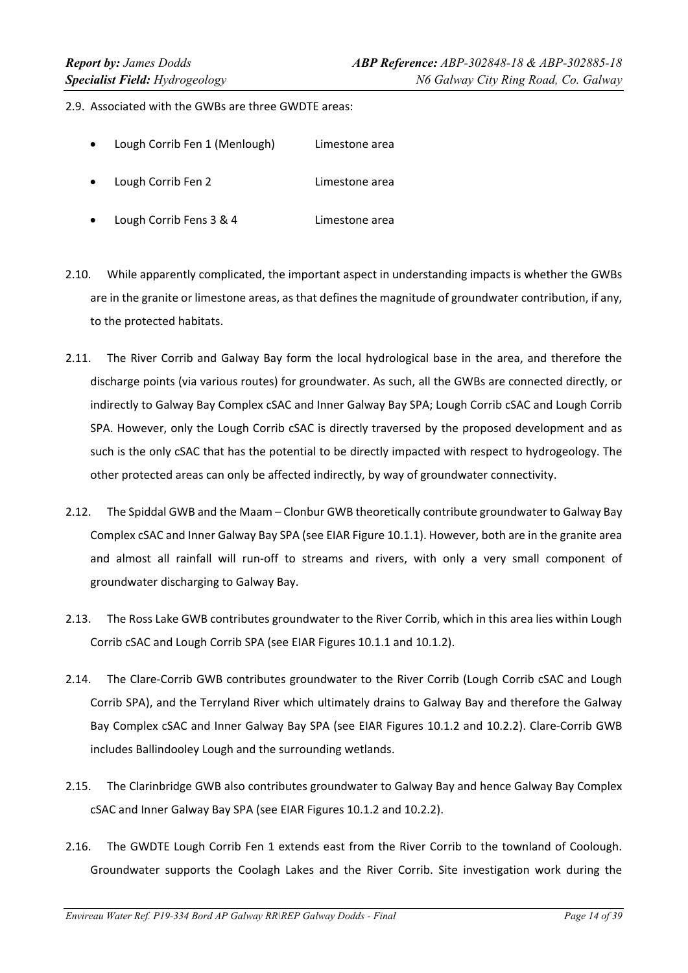2.9. Associated with the GWBs are three GWDTE areas:

- Lough Corrib Fen 1 (Menlough) Limestone area
- Lough Corrib Fen 2 **Limestone** area
- Lough Corrib Fens 3 & 4 **Limestone** area
- 2.10. While apparently complicated, the important aspect in understanding impacts is whether the GWBs are in the granite or limestone areas, as that defines the magnitude of groundwater contribution, if any, to the protected habitats.
- 2.11. The River Corrib and Galway Bay form the local hydrological base in the area, and therefore the discharge points (via various routes) for groundwater. As such, all the GWBs are connected directly, or indirectly to Galway Bay Complex cSAC and Inner Galway Bay SPA; Lough Corrib cSAC and Lough Corrib SPA. However, only the Lough Corrib cSAC is directly traversed by the proposed development and as such is the only cSAC that has the potential to be directly impacted with respect to hydrogeology. The other protected areas can only be affected indirectly, by way of groundwater connectivity.
- 2.12. The Spiddal GWB and the Maam Clonbur GWB theoretically contribute groundwater to Galway Bay Complex cSAC and Inner Galway Bay SPA (see EIAR Figure 10.1.1). However, both are in the granite area and almost all rainfall will run-off to streams and rivers, with only a very small component of groundwater discharging to Galway Bay.
- 2.13. The Ross Lake GWB contributes groundwater to the River Corrib, which in this area lies within Lough Corrib cSAC and Lough Corrib SPA (see EIAR Figures 10.1.1 and 10.1.2).
- 2.14. The Clare-Corrib GWB contributes groundwater to the River Corrib (Lough Corrib cSAC and Lough Corrib SPA), and the Terryland River which ultimately drains to Galway Bay and therefore the Galway Bay Complex cSAC and Inner Galway Bay SPA (see EIAR Figures 10.1.2 and 10.2.2). Clare‐Corrib GWB includes Ballindooley Lough and the surrounding wetlands.
- 2.15. The Clarinbridge GWB also contributes groundwater to Galway Bay and hence Galway Bay Complex cSAC and Inner Galway Bay SPA (see EIAR Figures 10.1.2 and 10.2.2).
- 2.16. The GWDTE Lough Corrib Fen 1 extends east from the River Corrib to the townland of Coolough. Groundwater supports the Coolagh Lakes and the River Corrib. Site investigation work during the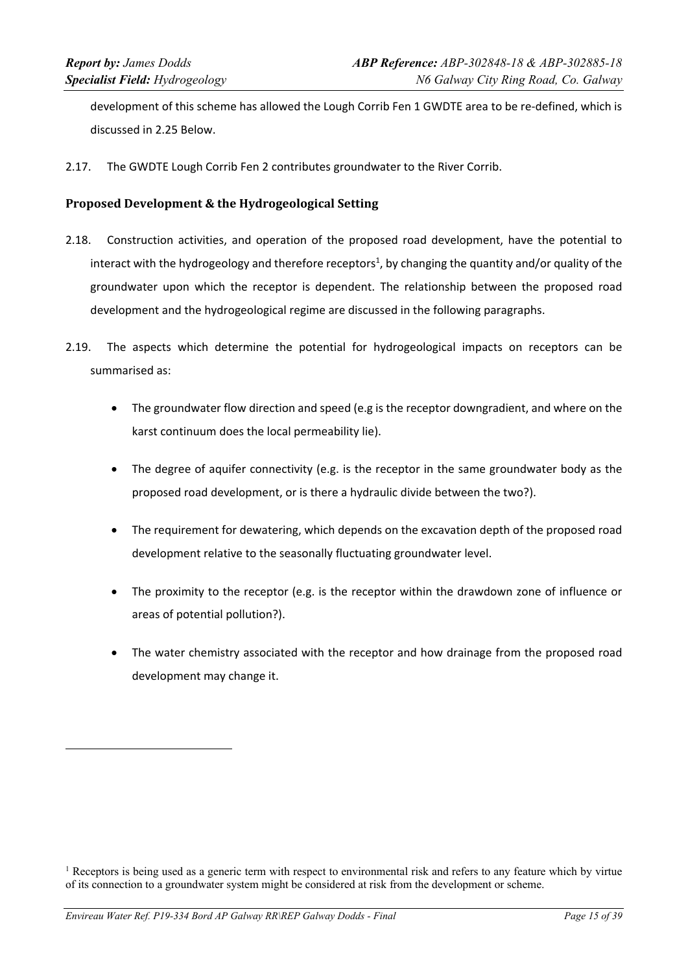development of this scheme has allowed the Lough Corrib Fen 1 GWDTE area to be re-defined, which is discussed in 2.25 Below.

2.17. The GWDTE Lough Corrib Fen 2 contributes groundwater to the River Corrib.

### **Proposed Development & the Hydrogeological Setting**

- 2.18. Construction activities, and operation of the proposed road development, have the potential to interact with the hydrogeology and therefore receptors<sup>1</sup>, by changing the quantity and/or quality of the groundwater upon which the receptor is dependent. The relationship between the proposed road development and the hydrogeological regime are discussed in the following paragraphs.
- 2.19. The aspects which determine the potential for hydrogeological impacts on receptors can be summarised as:
	- The groundwater flow direction and speed (e.g is the receptor downgradient, and where on the karst continuum does the local permeability lie).
	- The degree of aquifer connectivity (e.g. is the receptor in the same groundwater body as the proposed road development, or is there a hydraulic divide between the two?).
	- The requirement for dewatering, which depends on the excavation depth of the proposed road development relative to the seasonally fluctuating groundwater level.
	- The proximity to the receptor (e.g. is the receptor within the drawdown zone of influence or areas of potential pollution?).
	- The water chemistry associated with the receptor and how drainage from the proposed road development may change it.

<sup>&</sup>lt;sup>1</sup> Receptors is being used as a generic term with respect to environmental risk and refers to any feature which by virtue of its connection to a groundwater system might be considered at risk from the development or scheme.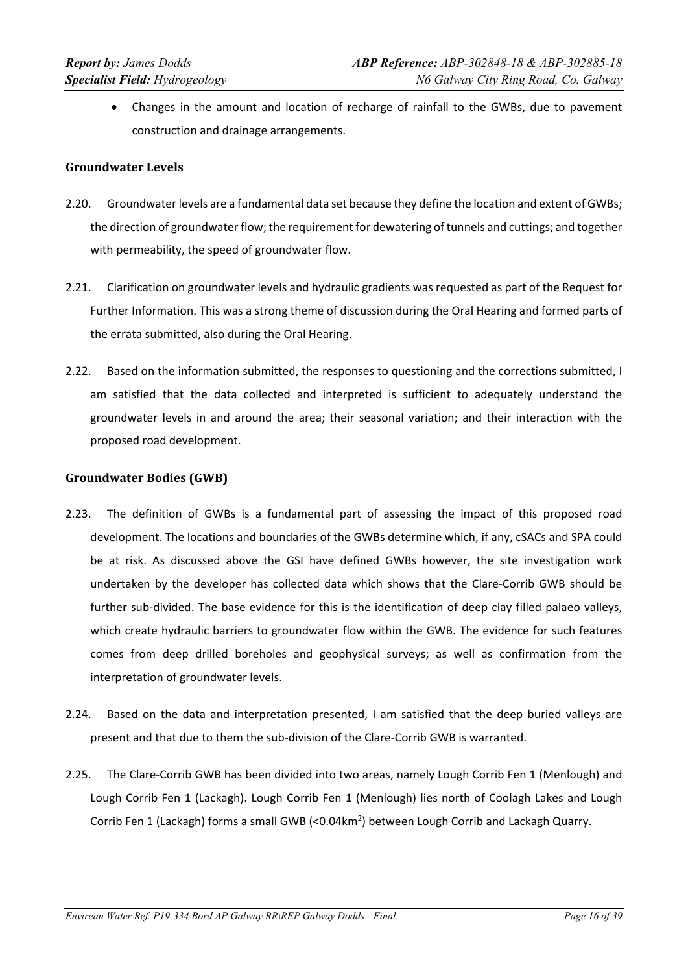Changes in the amount and location of recharge of rainfall to the GWBs, due to pavement construction and drainage arrangements.

### **Groundwater Levels**

- 2.20. Groundwater levels are a fundamental data set because they define the location and extent of GWBs; the direction of groundwaterflow; the requirement for dewatering of tunnels and cuttings; and together with permeability, the speed of groundwater flow.
- 2.21. Clarification on groundwater levels and hydraulic gradients was requested as part of the Request for Further Information. This was a strong theme of discussion during the Oral Hearing and formed parts of the errata submitted, also during the Oral Hearing.
- 2.22. Based on the information submitted, the responses to questioning and the corrections submitted, I am satisfied that the data collected and interpreted is sufficient to adequately understand the groundwater levels in and around the area; their seasonal variation; and their interaction with the proposed road development.

### **Groundwater Bodies (GWB)**

- 2.23. The definition of GWBs is a fundamental part of assessing the impact of this proposed road development. The locations and boundaries of the GWBs determine which, if any, cSACs and SPA could be at risk. As discussed above the GSI have defined GWBs however, the site investigation work undertaken by the developer has collected data which shows that the Clare‐Corrib GWB should be further sub-divided. The base evidence for this is the identification of deep clay filled palaeo valleys, which create hydraulic barriers to groundwater flow within the GWB. The evidence for such features comes from deep drilled boreholes and geophysical surveys; as well as confirmation from the interpretation of groundwater levels.
- 2.24. Based on the data and interpretation presented, I am satisfied that the deep buried valleys are present and that due to them the sub‐division of the Clare‐Corrib GWB is warranted.
- 2.25. The Clare‐Corrib GWB has been divided into two areas, namely Lough Corrib Fen 1 (Menlough) and Lough Corrib Fen 1 (Lackagh). Lough Corrib Fen 1 (Menlough) lies north of Coolagh Lakes and Lough Corrib Fen 1 (Lackagh) forms a small GWB (<0.04km<sup>2</sup>) between Lough Corrib and Lackagh Quarry.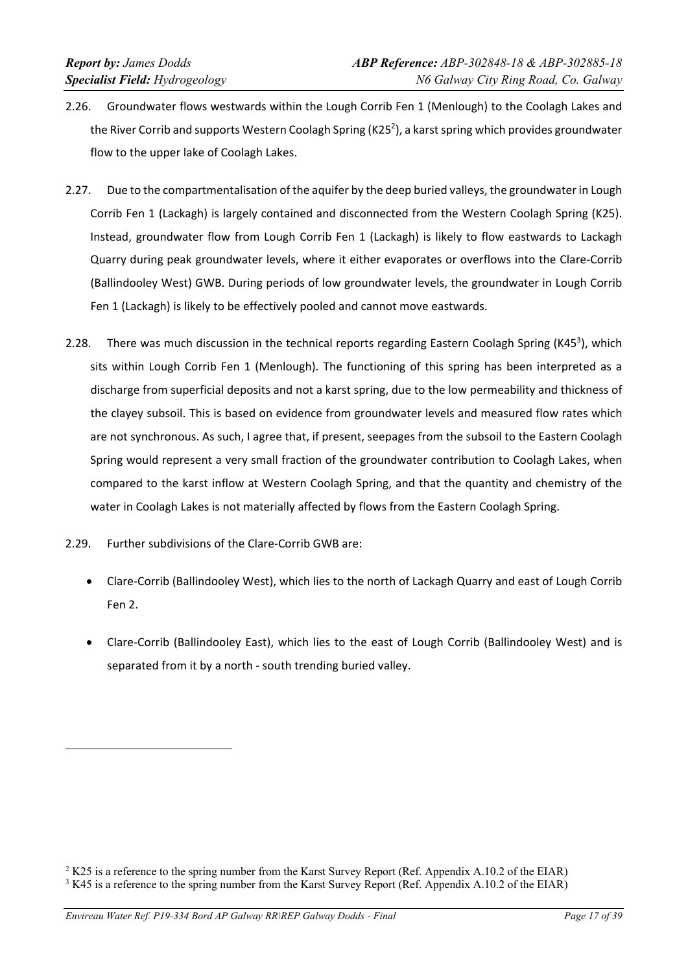- 2.26. Groundwater flows westwards within the Lough Corrib Fen 1 (Menlough) to the Coolagh Lakes and the River Corrib and supports Western Coolagh Spring (K25<sup>2</sup>), a karst spring which provides groundwater flow to the upper lake of Coolagh Lakes.
- 2.27. Due to the compartmentalisation of the aquifer by the deep buried valleys, the groundwater in Lough Corrib Fen 1 (Lackagh) is largely contained and disconnected from the Western Coolagh Spring (K25). Instead, groundwater flow from Lough Corrib Fen 1 (Lackagh) is likely to flow eastwards to Lackagh Quarry during peak groundwater levels, where it either evaporates or overflows into the Clare‐Corrib (Ballindooley West) GWB. During periods of low groundwater levels, the groundwater in Lough Corrib Fen 1 (Lackagh) is likely to be effectively pooled and cannot move eastwards.
- 2.28. There was much discussion in the technical reports regarding Eastern Coolagh Spring (K45<sup>3</sup>), which sits within Lough Corrib Fen 1 (Menlough). The functioning of this spring has been interpreted as a discharge from superficial deposits and not a karst spring, due to the low permeability and thickness of the clayey subsoil. This is based on evidence from groundwater levels and measured flow rates which are not synchronous. As such, I agree that, if present, seepages from the subsoil to the Eastern Coolagh Spring would represent a very small fraction of the groundwater contribution to Coolagh Lakes, when compared to the karst inflow at Western Coolagh Spring, and that the quantity and chemistry of the water in Coolagh Lakes is not materially affected by flows from the Eastern Coolagh Spring.
- 2.29. Further subdivisions of the Clare‐Corrib GWB are:
	- Clare-Corrib (Ballindooley West), which lies to the north of Lackagh Quarry and east of Lough Corrib Fen 2.
	- Clare-Corrib (Ballindooley East), which lies to the east of Lough Corrib (Ballindooley West) and is separated from it by a north ‐ south trending buried valley.

 $2$  K25 is a reference to the spring number from the Karst Survey Report (Ref. Appendix A.10.2 of the EIAR)  $3 K45$  is a reference to the spring number from the Karst Survey Report (Ref. Appendix A.10.2 of the EIAR)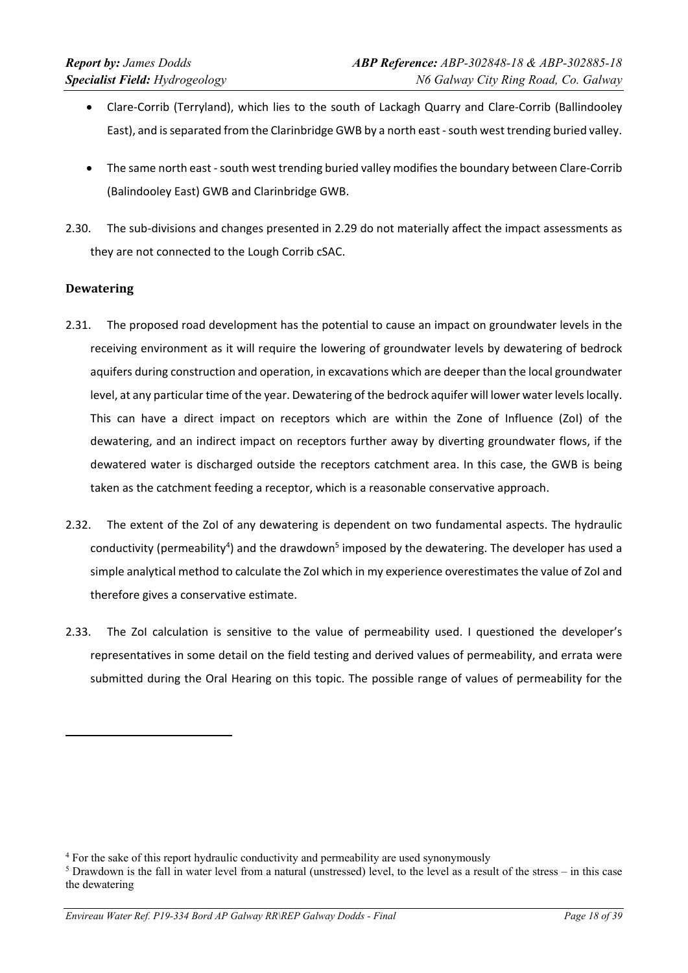- Clare‐Corrib (Terryland), which lies to the south of Lackagh Quarry and Clare‐Corrib (Ballindooley East), and is separated from the Clarinbridge GWB by a north east - south west trending buried valley.
- The same north east south west trending buried valley modifies the boundary between Clare-Corrib (Balindooley East) GWB and Clarinbridge GWB.
- 2.30. The sub-divisions and changes presented in 2.29 do not materially affect the impact assessments as they are not connected to the Lough Corrib cSAC.

## **Dewatering**

- 2.31. The proposed road development has the potential to cause an impact on groundwater levels in the receiving environment as it will require the lowering of groundwater levels by dewatering of bedrock aquifers during construction and operation, in excavations which are deeper than the local groundwater level, at any particular time of the year. Dewatering of the bedrock aquifer will lower water levels locally. This can have a direct impact on receptors which are within the Zone of Influence (ZoI) of the dewatering, and an indirect impact on receptors further away by diverting groundwater flows, if the dewatered water is discharged outside the receptors catchment area. In this case, the GWB is being taken as the catchment feeding a receptor, which is a reasonable conservative approach.
- 2.32. The extent of the ZoI of any dewatering is dependent on two fundamental aspects. The hydraulic conductivity (permeability<sup>4</sup>) and the drawdown<sup>5</sup> imposed by the dewatering. The developer has used a simple analytical method to calculate the ZoI which in my experience overestimates the value of ZoI and therefore gives a conservative estimate.
- 2.33. The ZoI calculation is sensitive to the value of permeability used. I questioned the developer's representatives in some detail on the field testing and derived values of permeability, and errata were submitted during the Oral Hearing on this topic. The possible range of values of permeability for the

<sup>&</sup>lt;sup>4</sup> For the sake of this report hydraulic conductivity and permeability are used synonymously  $\frac{5}{2}$  Drawdown is the fall in water level from a natural (unstressed) level to the level as a resul

Drawdown is the fall in water level from a natural (unstressed) level, to the level as a result of the stress – in this case the dewatering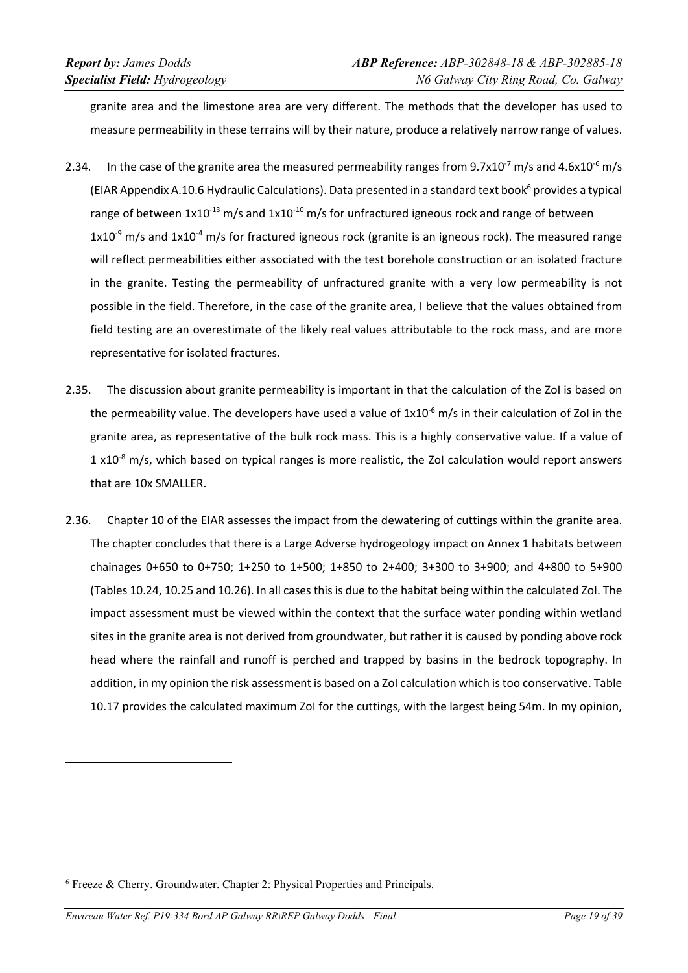granite area and the limestone area are very different. The methods that the developer has used to measure permeability in these terrains will by their nature, produce a relatively narrow range of values.

- 2.34. In the case of the granite area the measured permeability ranges from  $9.7x10^{-7}$  m/s and  $4.6x10^{-6}$  m/s (EIAR Appendix A.10.6 Hydraulic Calculations). Data presented in a standard text book<sup>6</sup> provides a typical range of between  $1x10^{-13}$  m/s and  $1x10^{-10}$  m/s for unfractured igneous rock and range of between  $1x10^{-9}$  m/s and  $1x10^{-4}$  m/s for fractured igneous rock (granite is an igneous rock). The measured range will reflect permeabilities either associated with the test borehole construction or an isolated fracture in the granite. Testing the permeability of unfractured granite with a very low permeability is not possible in the field. Therefore, in the case of the granite area, I believe that the values obtained from field testing are an overestimate of the likely real values attributable to the rock mass, and are more representative for isolated fractures.
- 2.35. The discussion about granite permeability is important in that the calculation of the ZoI is based on the permeability value. The developers have used a value of 1x10<sup>-6</sup> m/s in their calculation of ZoI in the granite area, as representative of the bulk rock mass. This is a highly conservative value. If a value of  $1 \times 10^{-8}$  m/s, which based on typical ranges is more realistic, the ZoI calculation would report answers that are 10x SMALLER.
- 2.36. Chapter 10 of the EIAR assesses the impact from the dewatering of cuttings within the granite area. The chapter concludes that there is a Large Adverse hydrogeology impact on Annex 1 habitats between chainages 0+650 to 0+750; 1+250 to 1+500; 1+850 to 2+400; 3+300 to 3+900; and 4+800 to 5+900 (Tables 10.24, 10.25 and 10.26). In all cases this is due to the habitat being within the calculated ZoI. The impact assessment must be viewed within the context that the surface water ponding within wetland sites in the granite area is not derived from groundwater, but rather it is caused by ponding above rock head where the rainfall and runoff is perched and trapped by basins in the bedrock topography. In addition, in my opinion the risk assessment is based on a ZoI calculation which is too conservative. Table 10.17 provides the calculated maximum ZoI for the cuttings, with the largest being 54m. In my opinion,

<sup>&</sup>lt;sup>6</sup> Freeze & Cherry. Groundwater. Chapter 2: Physical Properties and Principals.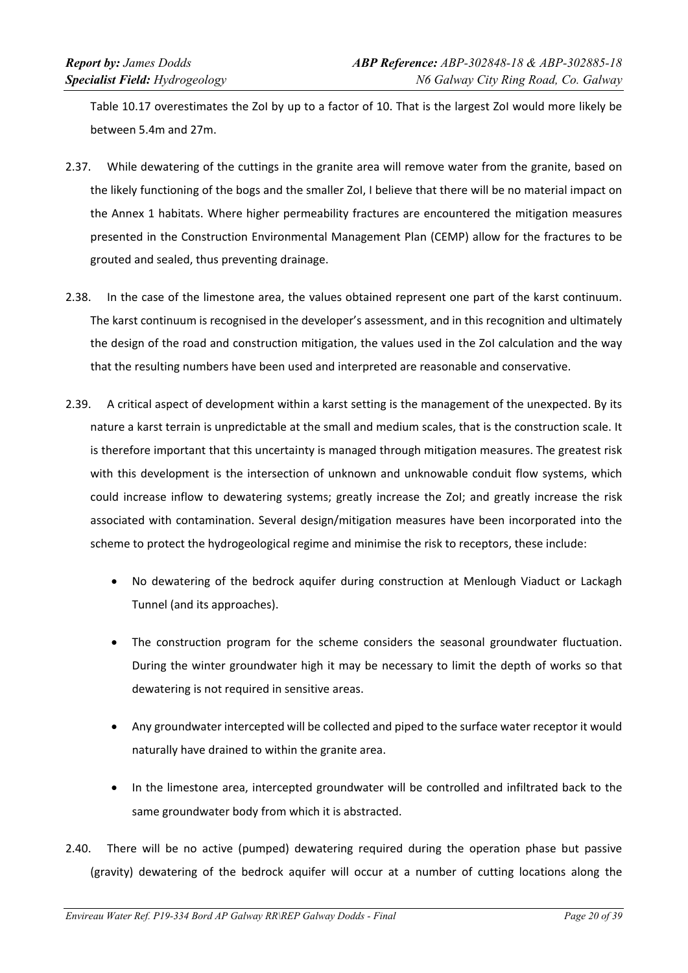Table 10.17 overestimates the ZoI by up to a factor of 10. That is the largest ZoI would more likely be between 5.4m and 27m.

- 2.37. While dewatering of the cuttings in the granite area will remove water from the granite, based on the likely functioning of the bogs and the smaller ZoI, I believe that there will be no material impact on the Annex 1 habitats. Where higher permeability fractures are encountered the mitigation measures presented in the Construction Environmental Management Plan (CEMP) allow for the fractures to be grouted and sealed, thus preventing drainage.
- 2.38. In the case of the limestone area, the values obtained represent one part of the karst continuum. The karst continuum is recognised in the developer's assessment, and in this recognition and ultimately the design of the road and construction mitigation, the values used in the ZoI calculation and the way that the resulting numbers have been used and interpreted are reasonable and conservative.
- 2.39. A critical aspect of development within a karst setting is the management of the unexpected. By its nature a karst terrain is unpredictable at the small and medium scales, that is the construction scale. It is therefore important that this uncertainty is managed through mitigation measures. The greatest risk with this development is the intersection of unknown and unknowable conduit flow systems, which could increase inflow to dewatering systems; greatly increase the ZoI; and greatly increase the risk associated with contamination. Several design/mitigation measures have been incorporated into the scheme to protect the hydrogeological regime and minimise the risk to receptors, these include:
	- No dewatering of the bedrock aquifer during construction at Menlough Viaduct or Lackagh Tunnel (and its approaches).
	- The construction program for the scheme considers the seasonal groundwater fluctuation. During the winter groundwater high it may be necessary to limit the depth of works so that dewatering is not required in sensitive areas.
	- Any groundwater intercepted will be collected and piped to the surface water receptor it would naturally have drained to within the granite area.
	- In the limestone area, intercepted groundwater will be controlled and infiltrated back to the same groundwater body from which it is abstracted.
- 2.40. There will be no active (pumped) dewatering required during the operation phase but passive (gravity) dewatering of the bedrock aquifer will occur at a number of cutting locations along the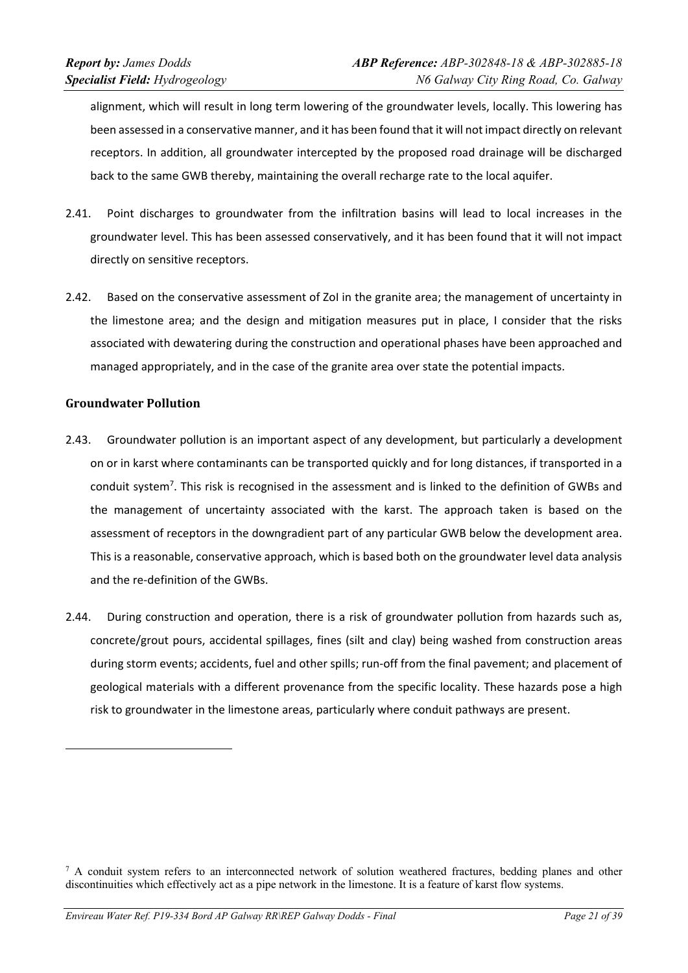alignment, which will result in long term lowering of the groundwater levels, locally. This lowering has been assessed in a conservative manner, and it has been found that it will not impact directly on relevant receptors. In addition, all groundwater intercepted by the proposed road drainage will be discharged back to the same GWB thereby, maintaining the overall recharge rate to the local aquifer.

- 2.41. Point discharges to groundwater from the infiltration basins will lead to local increases in the groundwater level. This has been assessed conservatively, and it has been found that it will not impact directly on sensitive receptors.
- 2.42. Based on the conservative assessment of ZoI in the granite area; the management of uncertainty in the limestone area; and the design and mitigation measures put in place, I consider that the risks associated with dewatering during the construction and operational phases have been approached and managed appropriately, and in the case of the granite area over state the potential impacts.

### **Groundwater Pollution**

- 2.43. Groundwater pollution is an important aspect of any development, but particularly a development on or in karst where contaminants can be transported quickly and for long distances, if transported in a conduit system<sup>7</sup>. This risk is recognised in the assessment and is linked to the definition of GWBs and the management of uncertainty associated with the karst. The approach taken is based on the assessment of receptors in the downgradient part of any particular GWB below the development area. This is a reasonable, conservative approach, which is based both on the groundwater level data analysis and the re‐definition of the GWBs.
- 2.44. During construction and operation, there is a risk of groundwater pollution from hazards such as, concrete/grout pours, accidental spillages, fines (silt and clay) being washed from construction areas during storm events; accidents, fuel and other spills; run-off from the final pavement; and placement of geological materials with a different provenance from the specific locality. These hazards pose a high risk to groundwater in the limestone areas, particularly where conduit pathways are present.

<sup>&</sup>lt;sup>7</sup> A conduit system refers to an interconnected network of solution weathered fractures, bedding planes and other discontinuities which effectively act as a pipe network in the limestone. It is a feature of karst flow systems.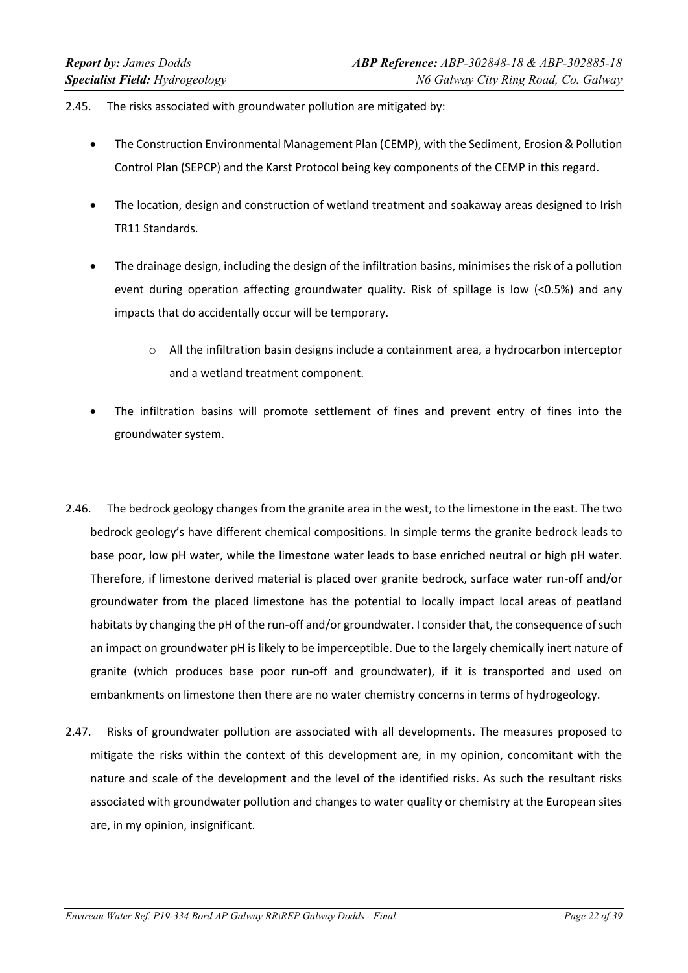#### 2.45. The risks associated with groundwater pollution are mitigated by:

- The Construction Environmental Management Plan (CEMP), with the Sediment, Erosion & Pollution Control Plan (SEPCP) and the Karst Protocol being key components of the CEMP in this regard.
- The location, design and construction of wetland treatment and soakaway areas designed to Irish TR11 Standards.
- The drainage design, including the design of the infiltration basins, minimises the risk of a pollution event during operation affecting groundwater quality. Risk of spillage is low (<0.5%) and any impacts that do accidentally occur will be temporary.
	- $\circ$  All the infiltration basin designs include a containment area, a hydrocarbon interceptor and a wetland treatment component.
- The infiltration basins will promote settlement of fines and prevent entry of fines into the groundwater system.
- 2.46. The bedrock geology changes from the granite area in the west, to the limestone in the east. The two bedrock geology's have different chemical compositions. In simple terms the granite bedrock leads to base poor, low pH water, while the limestone water leads to base enriched neutral or high pH water. Therefore, if limestone derived material is placed over granite bedrock, surface water run‐off and/or groundwater from the placed limestone has the potential to locally impact local areas of peatland habitats by changing the pH of the run-off and/or groundwater. I consider that, the consequence of such an impact on groundwater pH is likely to be imperceptible. Due to the largely chemically inert nature of granite (which produces base poor run‐off and groundwater), if it is transported and used on embankments on limestone then there are no water chemistry concerns in terms of hydrogeology.
- 2.47. Risks of groundwater pollution are associated with all developments. The measures proposed to mitigate the risks within the context of this development are, in my opinion, concomitant with the nature and scale of the development and the level of the identified risks. As such the resultant risks associated with groundwater pollution and changes to water quality or chemistry at the European sites are, in my opinion, insignificant.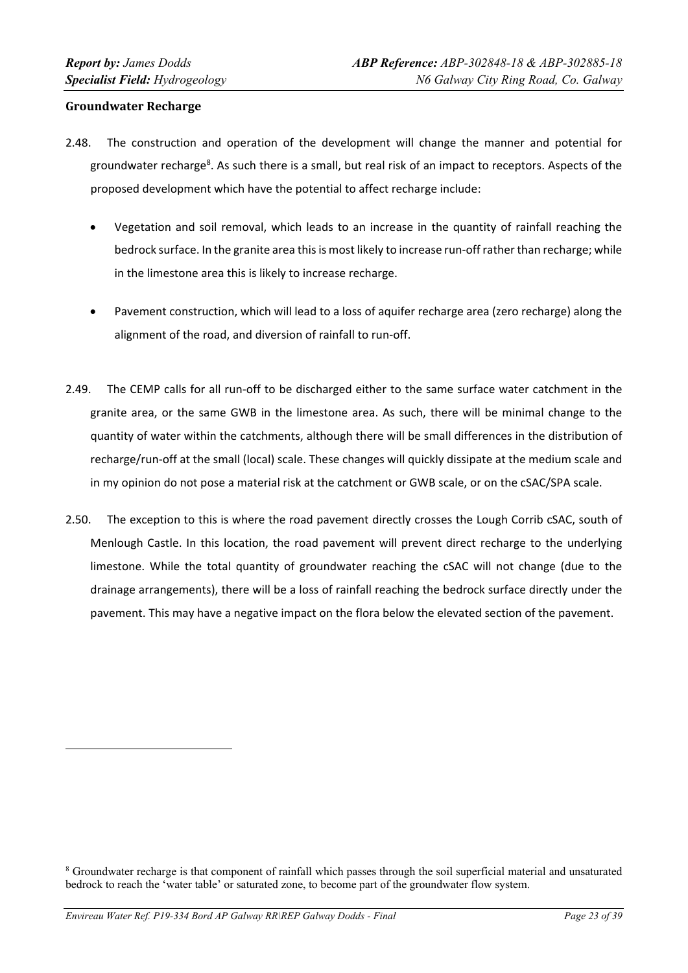### **Groundwater Recharge**

- 2.48. The construction and operation of the development will change the manner and potential for groundwater recharge<sup>8</sup>. As such there is a small, but real risk of an impact to receptors. Aspects of the proposed development which have the potential to affect recharge include:
	- Vegetation and soil removal, which leads to an increase in the quantity of rainfall reaching the bedrock surface. In the granite area this is most likely to increase run-off rather than recharge; while in the limestone area this is likely to increase recharge.
	- Pavement construction, which will lead to a loss of aquifer recharge area (zero recharge) along the alignment of the road, and diversion of rainfall to run‐off.
- 2.49. The CEMP calls for all run-off to be discharged either to the same surface water catchment in the granite area, or the same GWB in the limestone area. As such, there will be minimal change to the quantity of water within the catchments, although there will be small differences in the distribution of recharge/run‐off at the small (local) scale. These changes will quickly dissipate at the medium scale and in my opinion do not pose a material risk at the catchment or GWB scale, or on the cSAC/SPA scale.
- 2.50. The exception to this is where the road pavement directly crosses the Lough Corrib cSAC, south of Menlough Castle. In this location, the road pavement will prevent direct recharge to the underlying limestone. While the total quantity of groundwater reaching the cSAC will not change (due to the drainage arrangements), there will be a loss of rainfall reaching the bedrock surface directly under the pavement. This may have a negative impact on the flora below the elevated section of the pavement.

<sup>8</sup> Groundwater recharge is that component of rainfall which passes through the soil superficial material and unsaturated bedrock to reach the 'water table' or saturated zone, to become part of the groundwater flow system.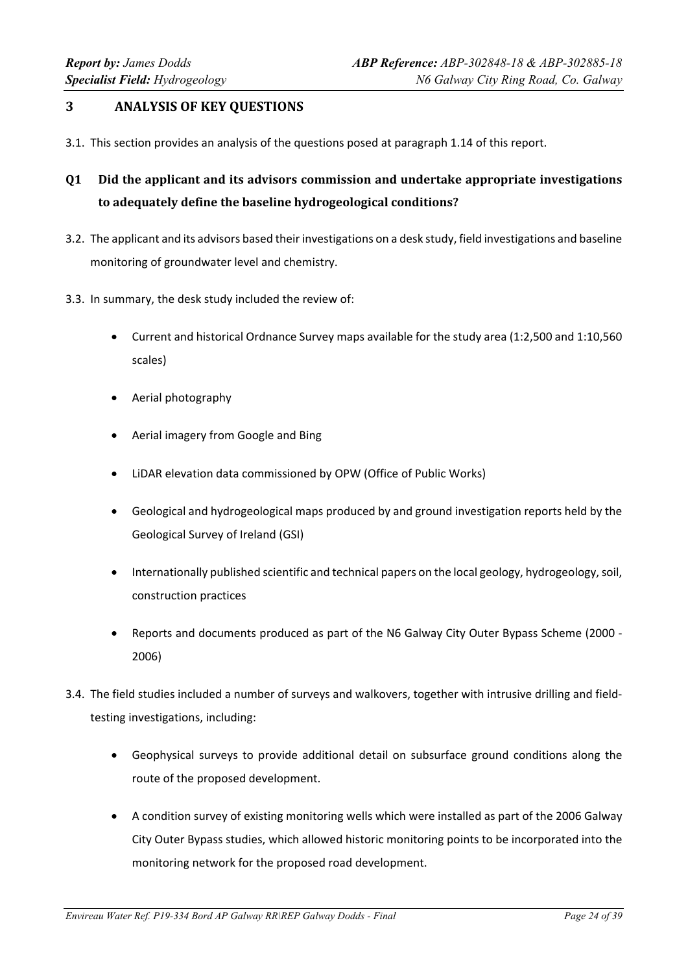# **3 ANALYSIS OF KEY QUESTIONS**

- 3.1. This section provides an analysis of the questions posed at paragraph 1.14 of this report.
- **Q1 Did the applicant and its advisors commission and undertake appropriate investigations to adequately define the baseline hydrogeological conditions?**
- 3.2. The applicant and its advisors based theirinvestigations on a desk study, field investigations and baseline monitoring of groundwater level and chemistry.
- 3.3. In summary, the desk study included the review of:
	- Current and historical Ordnance Survey maps available for the study area (1:2,500 and 1:10,560 scales)
	- Aerial photography
	- Aerial imagery from Google and Bing
	- LiDAR elevation data commissioned by OPW (Office of Public Works)
	- Geological and hydrogeological maps produced by and ground investigation reports held by the Geological Survey of Ireland (GSI)
	- Internationally published scientific and technical papers on the local geology, hydrogeology, soil, construction practices
	- Reports and documents produced as part of the N6 Galway City Outer Bypass Scheme (2000 ‐ 2006)
- 3.4. The field studies included a number of surveys and walkovers, together with intrusive drilling and field‐ testing investigations, including:
	- Geophysical surveys to provide additional detail on subsurface ground conditions along the route of the proposed development.
	- A condition survey of existing monitoring wells which were installed as part of the 2006 Galway City Outer Bypass studies, which allowed historic monitoring points to be incorporated into the monitoring network for the proposed road development.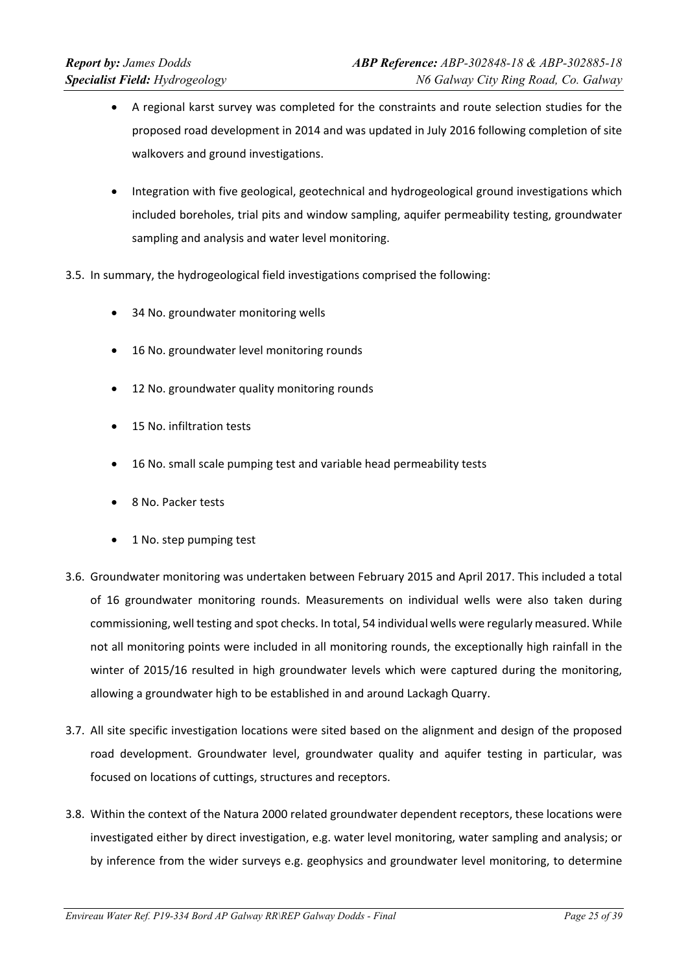- A regional karst survey was completed for the constraints and route selection studies for the proposed road development in 2014 and was updated in July 2016 following completion of site walkovers and ground investigations.
- Integration with five geological, geotechnical and hydrogeological ground investigations which included boreholes, trial pits and window sampling, aquifer permeability testing, groundwater sampling and analysis and water level monitoring.
- 3.5. In summary, the hydrogeological field investigations comprised the following:
	- 34 No. groundwater monitoring wells
	- 16 No. groundwater level monitoring rounds
	- 12 No. groundwater quality monitoring rounds
	- 15 No. infiltration tests
	- 16 No. small scale pumping test and variable head permeability tests
	- 8 No. Packer tests
	- 1 No. step pumping test
- 3.6. Groundwater monitoring was undertaken between February 2015 and April 2017. This included a total of 16 groundwater monitoring rounds. Measurements on individual wells were also taken during commissioning, well testing and spot checks. In total, 54 individual wells were regularly measured. While not all monitoring points were included in all monitoring rounds, the exceptionally high rainfall in the winter of 2015/16 resulted in high groundwater levels which were captured during the monitoring, allowing a groundwater high to be established in and around Lackagh Quarry.
- 3.7. All site specific investigation locations were sited based on the alignment and design of the proposed road development. Groundwater level, groundwater quality and aquifer testing in particular, was focused on locations of cuttings, structures and receptors.
- 3.8. Within the context of the Natura 2000 related groundwater dependent receptors, these locations were investigated either by direct investigation, e.g. water level monitoring, water sampling and analysis; or by inference from the wider surveys e.g. geophysics and groundwater level monitoring, to determine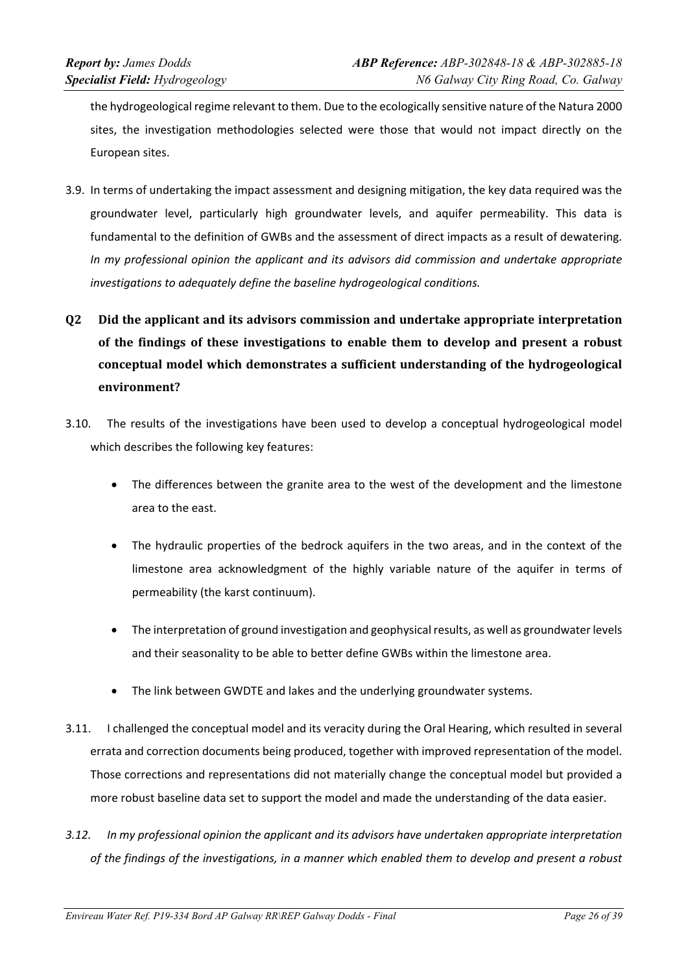the hydrogeological regime relevant to them. Due to the ecologically sensitive nature of the Natura 2000 sites, the investigation methodologies selected were those that would not impact directly on the European sites.

- 3.9. In terms of undertaking the impact assessment and designing mitigation, the key data required was the groundwater level, particularly high groundwater levels, and aquifer permeability. This data is fundamental to the definition of GWBs and the assessment of direct impacts as a result of dewatering. *In my professional opinion the applicant and its advisors did commission and undertake appropriate investigations to adequately define the baseline hydrogeological conditions.*
- **Q2 Did the applicant and its advisors commission and undertake appropriate interpretation of the findings of these investigations to enable them to develop and present a robust conceptual model which demonstrates a sufficient understanding of the hydrogeological environment?**
- 3.10. The results of the investigations have been used to develop a conceptual hydrogeological model which describes the following key features:
	- The differences between the granite area to the west of the development and the limestone area to the east.
	- The hydraulic properties of the bedrock aquifers in the two areas, and in the context of the limestone area acknowledgment of the highly variable nature of the aquifer in terms of permeability (the karst continuum).
	- The interpretation of ground investigation and geophysical results, as well as groundwater levels and their seasonality to be able to better define GWBs within the limestone area.
	- The link between GWDTE and lakes and the underlying groundwater systems.
- 3.11. I challenged the conceptual model and its veracity during the Oral Hearing, which resulted in several errata and correction documents being produced, together with improved representation of the model. Those corrections and representations did not materially change the conceptual model but provided a more robust baseline data set to support the model and made the understanding of the data easier.
- *3.12. In my professional opinion the applicant and its advisors have undertaken appropriate interpretation* of the findings of the investigations, in a manner which enabled them to develop and present a robust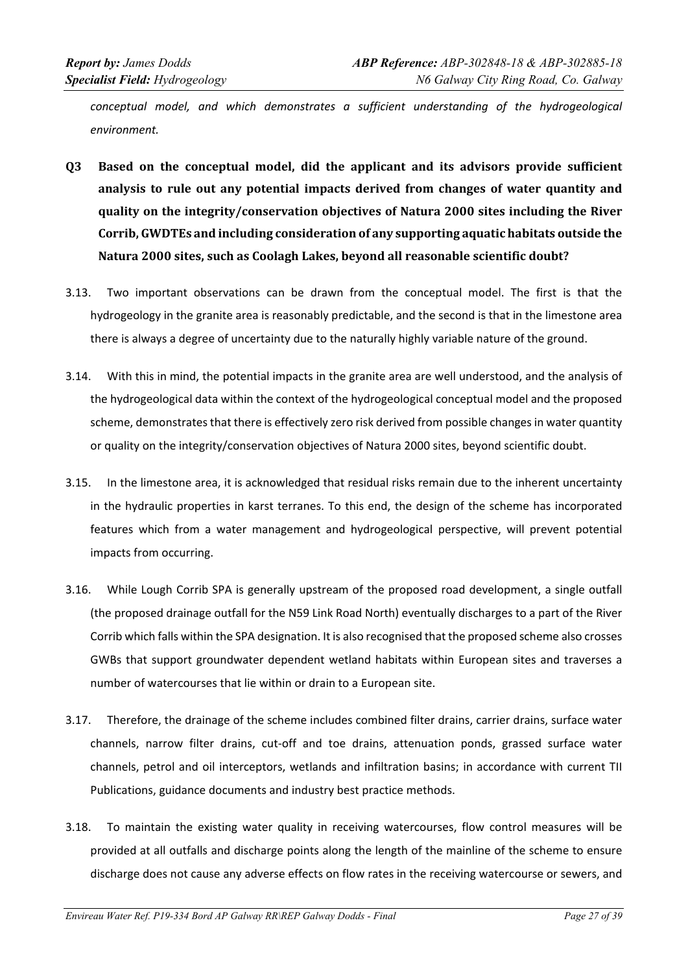*conceptual model, and which demonstrates a sufficient understanding of the hydrogeological environment.*

- **Q3 Based on the conceptual model, did the applicant and its advisors provide sufficient analysis to rule out any potential impacts derived from changes of water quantity and quality on the integrity/conservation objectives of Natura 2000 sites including the River Corrib, GWDTEs and including consideration of any supporting aquatic habitats outside the Natura 2000 sites, such as Coolagh Lakes, beyond all reasonable scientific doubt?**
- 3.13. Two important observations can be drawn from the conceptual model. The first is that the hydrogeology in the granite area is reasonably predictable, and the second is that in the limestone area there is always a degree of uncertainty due to the naturally highly variable nature of the ground.
- 3.14. With this in mind, the potential impacts in the granite area are well understood, and the analysis of the hydrogeological data within the context of the hydrogeological conceptual model and the proposed scheme, demonstrates that there is effectively zero risk derived from possible changes in water quantity or quality on the integrity/conservation objectives of Natura 2000 sites, beyond scientific doubt.
- 3.15. In the limestone area, it is acknowledged that residual risks remain due to the inherent uncertainty in the hydraulic properties in karst terranes. To this end, the design of the scheme has incorporated features which from a water management and hydrogeological perspective, will prevent potential impacts from occurring.
- 3.16. While Lough Corrib SPA is generally upstream of the proposed road development, a single outfall (the proposed drainage outfall for the N59 Link Road North) eventually discharges to a part of the River Corrib which falls within the SPA designation. It is also recognised that the proposed scheme also crosses GWBs that support groundwater dependent wetland habitats within European sites and traverses a number of watercourses that lie within or drain to a European site.
- 3.17. Therefore, the drainage of the scheme includes combined filter drains, carrier drains, surface water channels, narrow filter drains, cut-off and toe drains, attenuation ponds, grassed surface water channels, petrol and oil interceptors, wetlands and infiltration basins; in accordance with current TII Publications, guidance documents and industry best practice methods.
- 3.18. To maintain the existing water quality in receiving watercourses, flow control measures will be provided at all outfalls and discharge points along the length of the mainline of the scheme to ensure discharge does not cause any adverse effects on flow rates in the receiving watercourse or sewers, and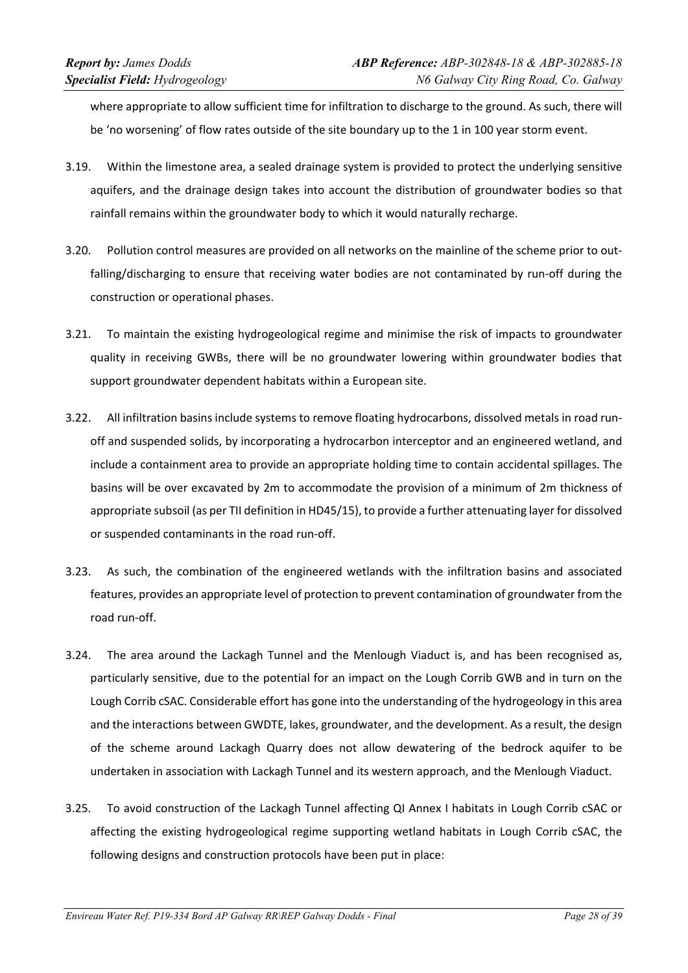where appropriate to allow sufficient time for infiltration to discharge to the ground. As such, there will be 'no worsening' of flow rates outside of the site boundary up to the 1 in 100 year storm event.

- 3.19. Within the limestone area, a sealed drainage system is provided to protect the underlying sensitive aquifers, and the drainage design takes into account the distribution of groundwater bodies so that rainfall remains within the groundwater body to which it would naturally recharge.
- 3.20. Pollution control measures are provided on all networks on the mainline of the scheme prior to out‐ falling/discharging to ensure that receiving water bodies are not contaminated by run-off during the construction or operational phases.
- 3.21. To maintain the existing hydrogeological regime and minimise the risk of impacts to groundwater quality in receiving GWBs, there will be no groundwater lowering within groundwater bodies that support groundwater dependent habitats within a European site.
- 3.22. All infiltration basins include systems to remove floating hydrocarbons, dissolved metals in road run‐ off and suspended solids, by incorporating a hydrocarbon interceptor and an engineered wetland, and include a containment area to provide an appropriate holding time to contain accidental spillages. The basins will be over excavated by 2m to accommodate the provision of a minimum of 2m thickness of appropriate subsoil (as per TII definition in HD45/15), to provide a further attenuating layer for dissolved or suspended contaminants in the road run‐off.
- 3.23. As such, the combination of the engineered wetlands with the infiltration basins and associated features, provides an appropriate level of protection to prevent contamination of groundwater from the road run‐off.
- 3.24. The area around the Lackagh Tunnel and the Menlough Viaduct is, and has been recognised as, particularly sensitive, due to the potential for an impact on the Lough Corrib GWB and in turn on the Lough Corrib cSAC. Considerable effort has gone into the understanding of the hydrogeology in this area and the interactions between GWDTE, lakes, groundwater, and the development. As a result, the design of the scheme around Lackagh Quarry does not allow dewatering of the bedrock aquifer to be undertaken in association with Lackagh Tunnel and its western approach, and the Menlough Viaduct.
- 3.25. To avoid construction of the Lackagh Tunnel affecting QI Annex I habitats in Lough Corrib cSAC or affecting the existing hydrogeological regime supporting wetland habitats in Lough Corrib cSAC, the following designs and construction protocols have been put in place: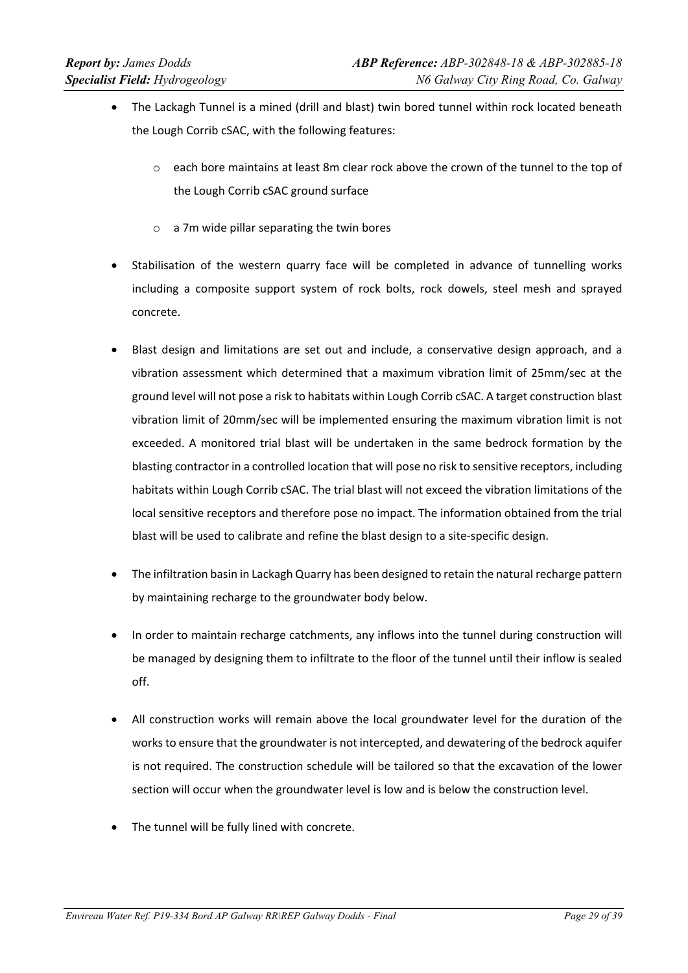- The Lackagh Tunnel is a mined (drill and blast) twin bored tunnel within rock located beneath the Lough Corrib cSAC, with the following features:
	- $\circ$  each bore maintains at least 8m clear rock above the crown of the tunnel to the top of the Lough Corrib cSAC ground surface
	- o a 7m wide pillar separating the twin bores
- Stabilisation of the western quarry face will be completed in advance of tunnelling works including a composite support system of rock bolts, rock dowels, steel mesh and sprayed concrete.
- Blast design and limitations are set out and include, a conservative design approach, and a vibration assessment which determined that a maximum vibration limit of 25mm/sec at the ground level will not pose a risk to habitats within Lough Corrib cSAC. A target construction blast vibration limit of 20mm/sec will be implemented ensuring the maximum vibration limit is not exceeded. A monitored trial blast will be undertaken in the same bedrock formation by the blasting contractor in a controlled location that will pose no risk to sensitive receptors, including habitats within Lough Corrib cSAC. The trial blast will not exceed the vibration limitations of the local sensitive receptors and therefore pose no impact. The information obtained from the trial blast will be used to calibrate and refine the blast design to a site‐specific design.
- The infiltration basin in Lackagh Quarry has been designed to retain the natural recharge pattern by maintaining recharge to the groundwater body below.
- In order to maintain recharge catchments, any inflows into the tunnel during construction will be managed by designing them to infiltrate to the floor of the tunnel until their inflow is sealed off.
- All construction works will remain above the local groundwater level for the duration of the worksto ensure that the groundwater is not intercepted, and dewatering of the bedrock aquifer is not required. The construction schedule will be tailored so that the excavation of the lower section will occur when the groundwater level is low and is below the construction level.
- The tunnel will be fully lined with concrete.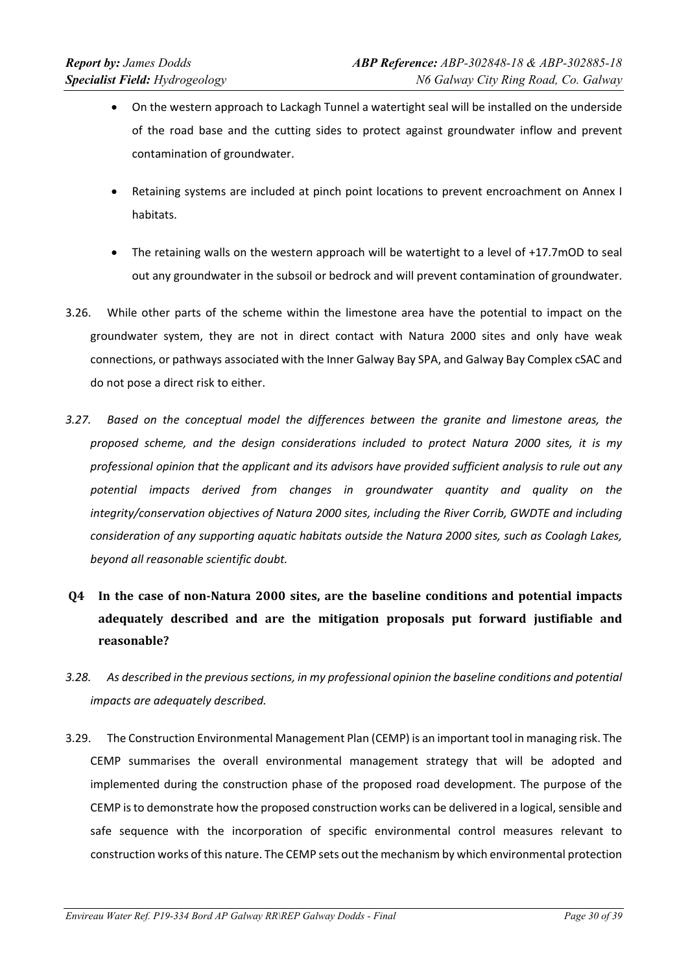- On the western approach to Lackagh Tunnel a watertight seal will be installed on the underside of the road base and the cutting sides to protect against groundwater inflow and prevent contamination of groundwater.
- Retaining systems are included at pinch point locations to prevent encroachment on Annex I habitats.
- The retaining walls on the western approach will be watertight to a level of +17.7mOD to seal out any groundwater in the subsoil or bedrock and will prevent contamination of groundwater.
- 3.26. While other parts of the scheme within the limestone area have the potential to impact on the groundwater system, they are not in direct contact with Natura 2000 sites and only have weak connections, or pathways associated with the Inner Galway Bay SPA, and Galway Bay Complex cSAC and do not pose a direct risk to either.
- *3.27. Based on the conceptual model the differences between the granite and limestone areas, the proposed scheme, and the design considerations included to protect Natura 2000 sites, it is my professional opinion that the applicant and its advisors have provided sufficient analysis to rule out any potential impacts derived from changes in groundwater quantity and quality on the integrity/conservation objectives of Natura 2000 sites, including the River Corrib, GWDTE and including consideration of any supporting aquatic habitats outside the Natura 2000 sites, such as Coolagh Lakes, beyond all reasonable scientific doubt.*
- **Q4 In the case of non‐Natura 2000 sites, are the baseline conditions and potential impacts adequately described and are the mitigation proposals put forward justifiable and reasonable?**
- *3.28. As described in the previoussections, in my professional opinion the baseline conditions and potential impacts are adequately described.*
- 3.29. The Construction Environmental Management Plan (CEMP) is an important tool in managing risk. The CEMP summarises the overall environmental management strategy that will be adopted and implemented during the construction phase of the proposed road development. The purpose of the CEMP is to demonstrate how the proposed construction works can be delivered in a logical, sensible and safe sequence with the incorporation of specific environmental control measures relevant to construction works of this nature. The CEMP sets out the mechanism by which environmental protection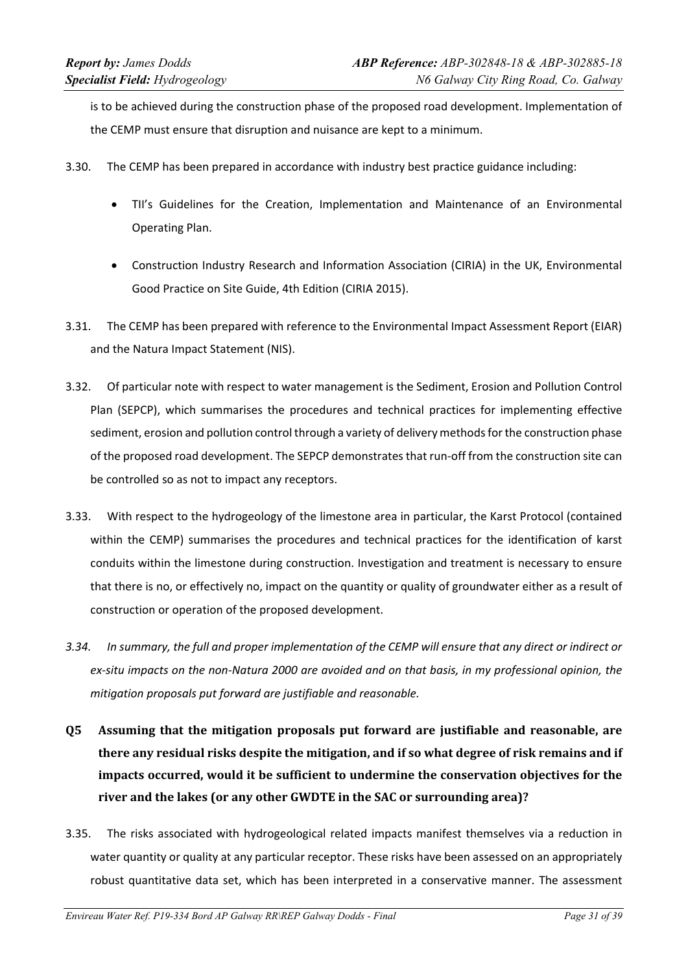is to be achieved during the construction phase of the proposed road development. Implementation of the CEMP must ensure that disruption and nuisance are kept to a minimum.

- 3.30. The CEMP has been prepared in accordance with industry best practice guidance including:
	- TII's Guidelines for the Creation, Implementation and Maintenance of an Environmental Operating Plan.
	- Construction Industry Research and Information Association (CIRIA) in the UK, Environmental Good Practice on Site Guide, 4th Edition (CIRIA 2015).
- 3.31. The CEMP has been prepared with reference to the Environmental Impact Assessment Report (EIAR) and the Natura Impact Statement (NIS).
- 3.32. Of particular note with respect to water management is the Sediment, Erosion and Pollution Control Plan (SEPCP), which summarises the procedures and technical practices for implementing effective sediment, erosion and pollution control through a variety of delivery methods for the construction phase of the proposed road development. The SEPCP demonstrates that run-off from the construction site can be controlled so as not to impact any receptors.
- 3.33. With respect to the hydrogeology of the limestone area in particular, the Karst Protocol (contained within the CEMP) summarises the procedures and technical practices for the identification of karst conduits within the limestone during construction. Investigation and treatment is necessary to ensure that there is no, or effectively no, impact on the quantity or quality of groundwater either as a result of construction or operation of the proposed development.
- 3.34. In summary, the full and proper implementation of the CEMP will ensure that any direct or indirect or ex-situ impacts on the non-Natura 2000 are avoided and on that basis, in my professional opinion, the *mitigation proposals put forward are justifiable and reasonable.*
- **Q5 Assuming that the mitigation proposals put forward are justifiable and reasonable, are there any residual risks despite the mitigation, and if so what degree of risk remains and if impacts occurred, would it be sufficient to undermine the conservation objectives for the river and the lakes (or any other GWDTE in the SAC or surrounding area)?**
- 3.35. The risks associated with hydrogeological related impacts manifest themselves via a reduction in water quantity or quality at any particular receptor. These risks have been assessed on an appropriately robust quantitative data set, which has been interpreted in a conservative manner. The assessment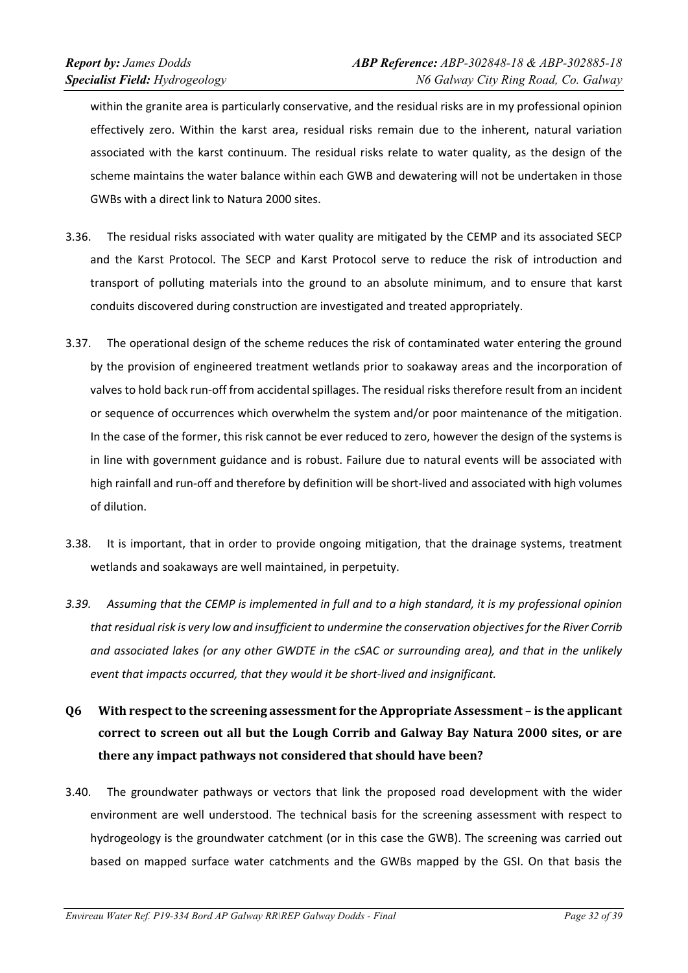within the granite area is particularly conservative, and the residual risks are in my professional opinion effectively zero. Within the karst area, residual risks remain due to the inherent, natural variation associated with the karst continuum. The residual risks relate to water quality, as the design of the scheme maintains the water balance within each GWB and dewatering will not be undertaken in those GWBs with a direct link to Natura 2000 sites.

- 3.36. The residual risks associated with water quality are mitigated by the CEMP and its associated SECP and the Karst Protocol. The SECP and Karst Protocol serve to reduce the risk of introduction and transport of polluting materials into the ground to an absolute minimum, and to ensure that karst conduits discovered during construction are investigated and treated appropriately.
- 3.37. The operational design of the scheme reduces the risk of contaminated water entering the ground by the provision of engineered treatment wetlands prior to soakaway areas and the incorporation of valves to hold back run-off from accidental spillages. The residual risks therefore result from an incident or sequence of occurrences which overwhelm the system and/or poor maintenance of the mitigation. In the case of the former, this risk cannot be ever reduced to zero, however the design of the systems is in line with government guidance and is robust. Failure due to natural events will be associated with high rainfall and run-off and therefore by definition will be short-lived and associated with high volumes of dilution.
- 3.38. It is important, that in order to provide ongoing mitigation, that the drainage systems, treatment wetlands and soakaways are well maintained, in perpetuity.
- 3.39. Assuming that the CEMP is implemented in full and to a high standard, it is my professional opinion *that residual risk is very low and insufficient to undermine the conservation objectivesfor the River Corrib* and associated lakes (or any other GWDTE in the cSAC or surrounding area), and that in the unlikely *event that impacts occurred, that they would it be short‐lived and insignificant.*
- **Q6 With respectto the screening assessment for the Appropriate Assessment – is the applicant correct to screen out all but the Lough Corrib and Galway Bay Natura 2000 sites, or are there any impact pathways not considered that should have been?**
- 3.40. The groundwater pathways or vectors that link the proposed road development with the wider environment are well understood. The technical basis for the screening assessment with respect to hydrogeology is the groundwater catchment (or in this case the GWB). The screening was carried out based on mapped surface water catchments and the GWBs mapped by the GSI. On that basis the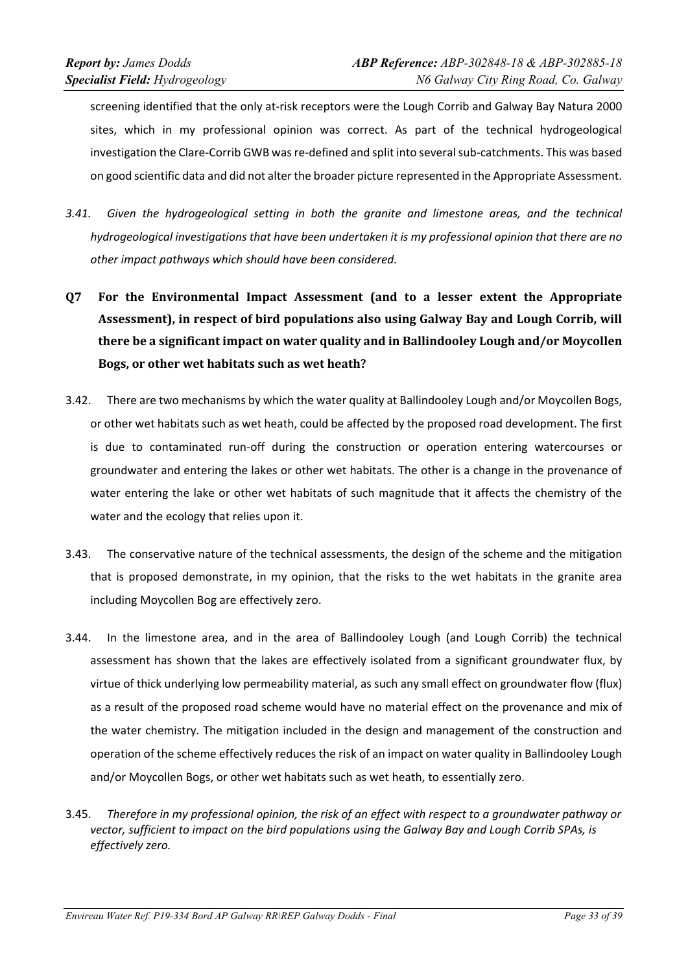screening identified that the only at-risk receptors were the Lough Corrib and Galway Bay Natura 2000 sites, which in my professional opinion was correct. As part of the technical hydrogeological investigation the Clare‐Corrib GWB was re‐defined and split into several sub‐catchments. This was based on good scientific data and did not alter the broader picture represented in the Appropriate Assessment.

- *3.41. Given the hydrogeological setting in both the granite and limestone areas, and the technical hydrogeological investigations that have been undertaken it is my professional opinion that there are no other impact pathways which should have been considered.*
- **Q7 For the Environmental Impact Assessment (and to a lesser extent the Appropriate Assessment), in respect of bird populations also using Galway Bay and Lough Corrib, will there be a significant impact on water quality and in Ballindooley Lough and/or Moycollen Bogs, or other wet habitats such as wet heath?**
- 3.42. There are two mechanisms by which the water quality at Ballindooley Lough and/or Moycollen Bogs, or other wet habitats such as wet heath, could be affected by the proposed road development. The first is due to contaminated run-off during the construction or operation entering watercourses or groundwater and entering the lakes or other wet habitats. The other is a change in the provenance of water entering the lake or other wet habitats of such magnitude that it affects the chemistry of the water and the ecology that relies upon it.
- 3.43. The conservative nature of the technical assessments, the design of the scheme and the mitigation that is proposed demonstrate, in my opinion, that the risks to the wet habitats in the granite area including Moycollen Bog are effectively zero.
- 3.44. In the limestone area, and in the area of Ballindooley Lough (and Lough Corrib) the technical assessment has shown that the lakes are effectively isolated from a significant groundwater flux, by virtue of thick underlying low permeability material, as such any small effect on groundwater flow (flux) as a result of the proposed road scheme would have no material effect on the provenance and mix of the water chemistry. The mitigation included in the design and management of the construction and operation of the scheme effectively reduces the risk of an impact on water quality in Ballindooley Lough and/or Moycollen Bogs, or other wet habitats such as wet heath, to essentially zero.
- 3.45. Therefore in my professional opinion, the risk of an effect with respect to a groundwater pathway or *vector, sufficient to impact on the bird populations using the Galway Bay and Lough Corrib SPAs, is effectively zero.*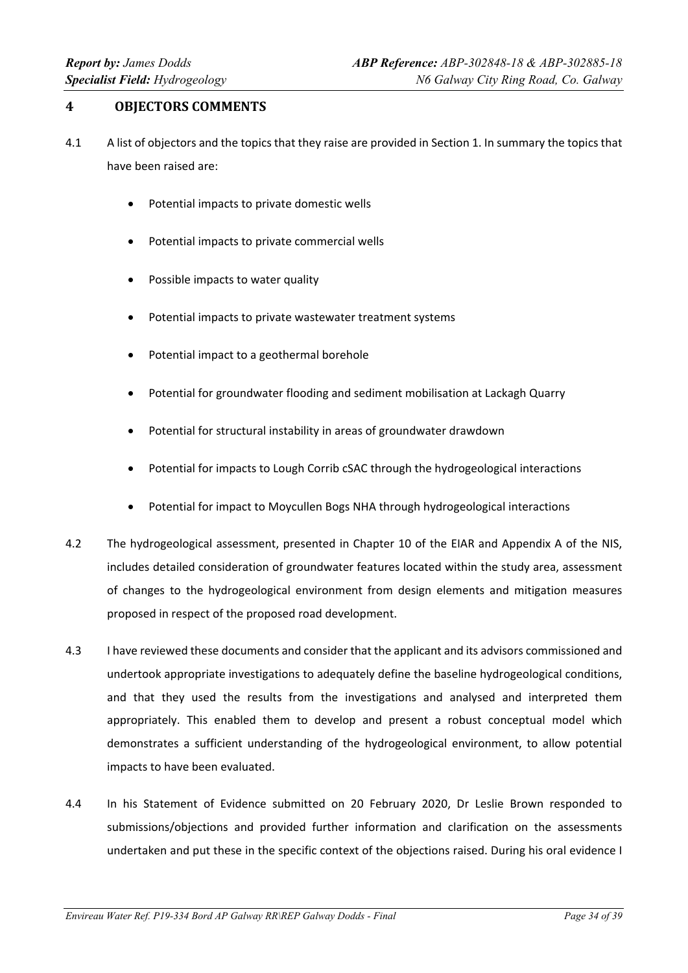# **4 OBJECTORS COMMENTS**

- 4.1 A list of objectors and the topics that they raise are provided in Section 1. In summary the topics that have been raised are:
	- Potential impacts to private domestic wells
	- Potential impacts to private commercial wells
	- Possible impacts to water quality
	- Potential impacts to private wastewater treatment systems
	- Potential impact to a geothermal borehole
	- Potential for groundwater flooding and sediment mobilisation at Lackagh Quarry
	- Potential for structural instability in areas of groundwater drawdown
	- Potential for impacts to Lough Corrib cSAC through the hydrogeological interactions
	- Potential for impact to Moycullen Bogs NHA through hydrogeological interactions
- 4.2 The hydrogeological assessment, presented in Chapter 10 of the EIAR and Appendix A of the NIS, includes detailed consideration of groundwater features located within the study area, assessment of changes to the hydrogeological environment from design elements and mitigation measures proposed in respect of the proposed road development.
- 4.3 I have reviewed these documents and consider that the applicant and its advisors commissioned and undertook appropriate investigations to adequately define the baseline hydrogeological conditions, and that they used the results from the investigations and analysed and interpreted them appropriately. This enabled them to develop and present a robust conceptual model which demonstrates a sufficient understanding of the hydrogeological environment, to allow potential impacts to have been evaluated.
- 4.4 In his Statement of Evidence submitted on 20 February 2020, Dr Leslie Brown responded to submissions/objections and provided further information and clarification on the assessments undertaken and put these in the specific context of the objections raised. During his oral evidence I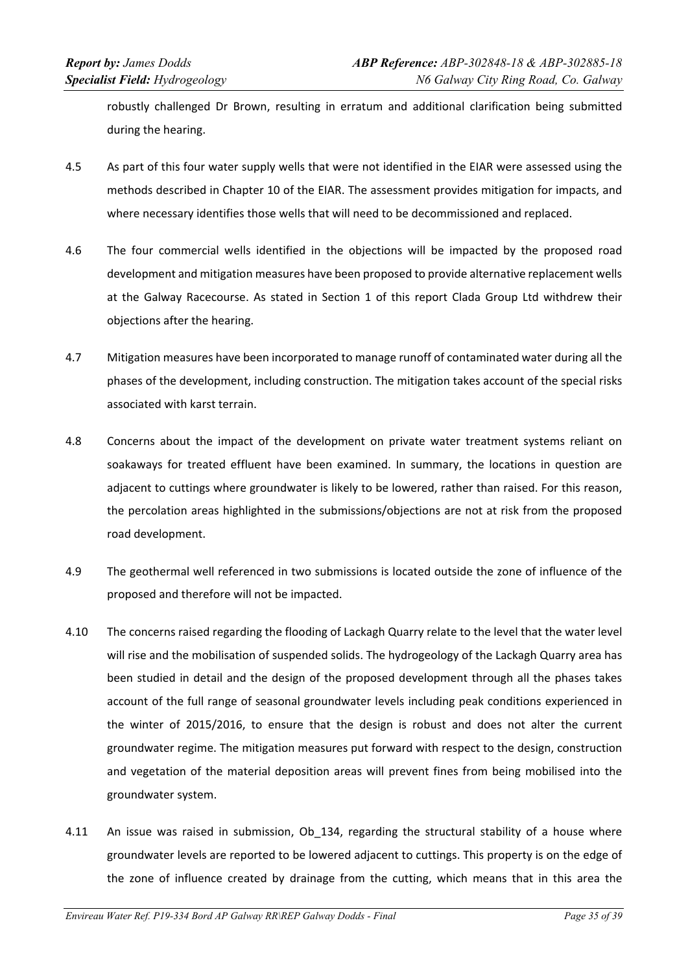robustly challenged Dr Brown, resulting in erratum and additional clarification being submitted during the hearing.

- 4.5 As part of this four water supply wells that were not identified in the EIAR were assessed using the methods described in Chapter 10 of the EIAR. The assessment provides mitigation for impacts, and where necessary identifies those wells that will need to be decommissioned and replaced.
- 4.6 The four commercial wells identified in the objections will be impacted by the proposed road development and mitigation measures have been proposed to provide alternative replacement wells at the Galway Racecourse. As stated in Section 1 of this report Clada Group Ltd withdrew their objections after the hearing.
- 4.7 Mitigation measures have been incorporated to manage runoff of contaminated water during all the phases of the development, including construction. The mitigation takes account of the special risks associated with karst terrain.
- 4.8 Concerns about the impact of the development on private water treatment systems reliant on soakaways for treated effluent have been examined. In summary, the locations in question are adjacent to cuttings where groundwater is likely to be lowered, rather than raised. For this reason, the percolation areas highlighted in the submissions/objections are not at risk from the proposed road development.
- 4.9 The geothermal well referenced in two submissions is located outside the zone of influence of the proposed and therefore will not be impacted.
- 4.10 The concerns raised regarding the flooding of Lackagh Quarry relate to the level that the water level will rise and the mobilisation of suspended solids. The hydrogeology of the Lackagh Quarry area has been studied in detail and the design of the proposed development through all the phases takes account of the full range of seasonal groundwater levels including peak conditions experienced in the winter of 2015/2016, to ensure that the design is robust and does not alter the current groundwater regime. The mitigation measures put forward with respect to the design, construction and vegetation of the material deposition areas will prevent fines from being mobilised into the groundwater system.
- 4.11 An issue was raised in submission, Ob 134, regarding the structural stability of a house where groundwater levels are reported to be lowered adjacent to cuttings. This property is on the edge of the zone of influence created by drainage from the cutting, which means that in this area the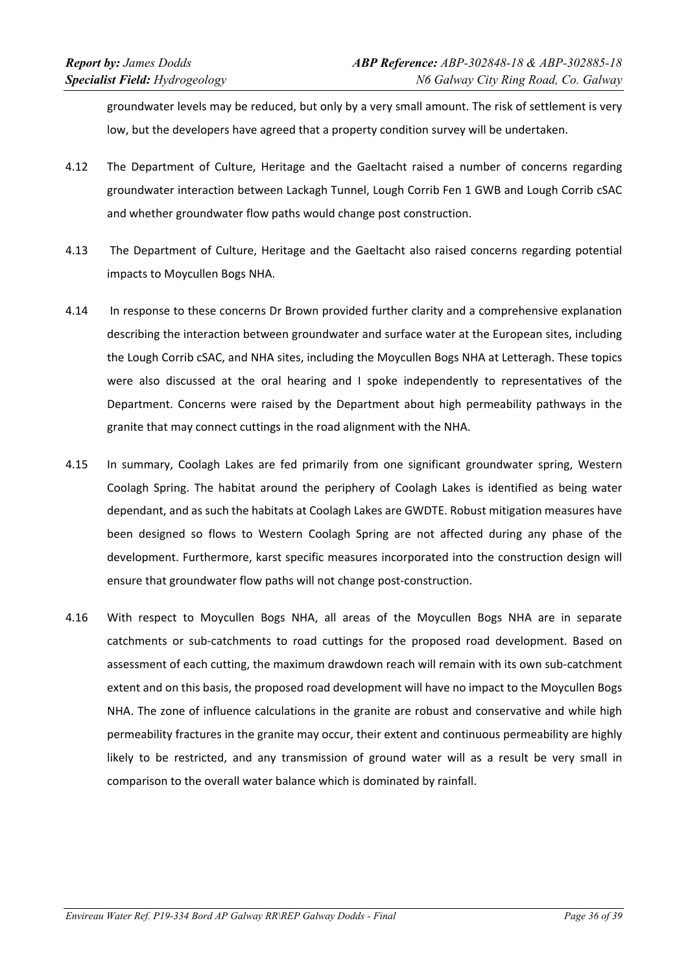groundwater levels may be reduced, but only by a very small amount. The risk of settlement is very low, but the developers have agreed that a property condition survey will be undertaken.

- 4.12 The Department of Culture, Heritage and the Gaeltacht raised a number of concerns regarding groundwater interaction between Lackagh Tunnel, Lough Corrib Fen 1 GWB and Lough Corrib cSAC and whether groundwater flow paths would change post construction.
- 4.13 The Department of Culture, Heritage and the Gaeltacht also raised concerns regarding potential impacts to Moycullen Bogs NHA.
- 4.14 In response to these concerns Dr Brown provided further clarity and a comprehensive explanation describing the interaction between groundwater and surface water at the European sites, including the Lough Corrib cSAC, and NHA sites, including the Moycullen Bogs NHA at Letteragh. These topics were also discussed at the oral hearing and I spoke independently to representatives of the Department. Concerns were raised by the Department about high permeability pathways in the granite that may connect cuttings in the road alignment with the NHA.
- 4.15 In summary, Coolagh Lakes are fed primarily from one significant groundwater spring, Western Coolagh Spring. The habitat around the periphery of Coolagh Lakes is identified as being water dependant, and as such the habitats at Coolagh Lakes are GWDTE. Robust mitigation measures have been designed so flows to Western Coolagh Spring are not affected during any phase of the development. Furthermore, karst specific measures incorporated into the construction design will ensure that groundwater flow paths will not change post-construction.
- 4.16 With respect to Moycullen Bogs NHA, all areas of the Moycullen Bogs NHA are in separate catchments or sub‐catchments to road cuttings for the proposed road development. Based on assessment of each cutting, the maximum drawdown reach will remain with its own sub-catchment extent and on this basis, the proposed road development will have no impact to the Moycullen Bogs NHA. The zone of influence calculations in the granite are robust and conservative and while high permeability fractures in the granite may occur, their extent and continuous permeability are highly likely to be restricted, and any transmission of ground water will as a result be very small in comparison to the overall water balance which is dominated by rainfall.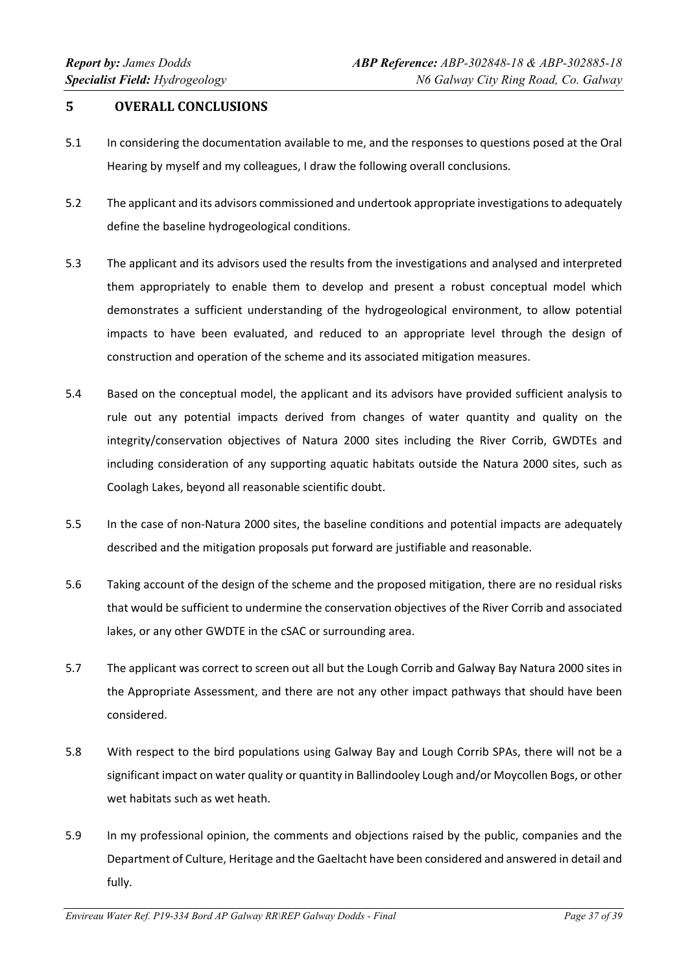# **5 OVERALL CONCLUSIONS**

- 5.1 In considering the documentation available to me, and the responses to questions posed at the Oral Hearing by myself and my colleagues, I draw the following overall conclusions.
- 5.2 The applicant and its advisors commissioned and undertook appropriate investigationsto adequately define the baseline hydrogeological conditions.
- 5.3 The applicant and its advisors used the results from the investigations and analysed and interpreted them appropriately to enable them to develop and present a robust conceptual model which demonstrates a sufficient understanding of the hydrogeological environment, to allow potential impacts to have been evaluated, and reduced to an appropriate level through the design of construction and operation of the scheme and its associated mitigation measures.
- 5.4 Based on the conceptual model, the applicant and its advisors have provided sufficient analysis to rule out any potential impacts derived from changes of water quantity and quality on the integrity/conservation objectives of Natura 2000 sites including the River Corrib, GWDTEs and including consideration of any supporting aquatic habitats outside the Natura 2000 sites, such as Coolagh Lakes, beyond all reasonable scientific doubt.
- 5.5 In the case of non‐Natura 2000 sites, the baseline conditions and potential impacts are adequately described and the mitigation proposals put forward are justifiable and reasonable.
- 5.6 Taking account of the design of the scheme and the proposed mitigation, there are no residual risks that would be sufficient to undermine the conservation objectives of the River Corrib and associated lakes, or any other GWDTE in the cSAC or surrounding area.
- 5.7 The applicant was correct to screen out all but the Lough Corrib and Galway Bay Natura 2000 sites in the Appropriate Assessment, and there are not any other impact pathways that should have been considered.
- 5.8 With respect to the bird populations using Galway Bay and Lough Corrib SPAs, there will not be a significant impact on water quality or quantity in Ballindooley Lough and/or Moycollen Bogs, or other wet habitats such as wet heath.
- 5.9 In my professional opinion, the comments and objections raised by the public, companies and the Department of Culture, Heritage and the Gaeltacht have been considered and answered in detail and fully.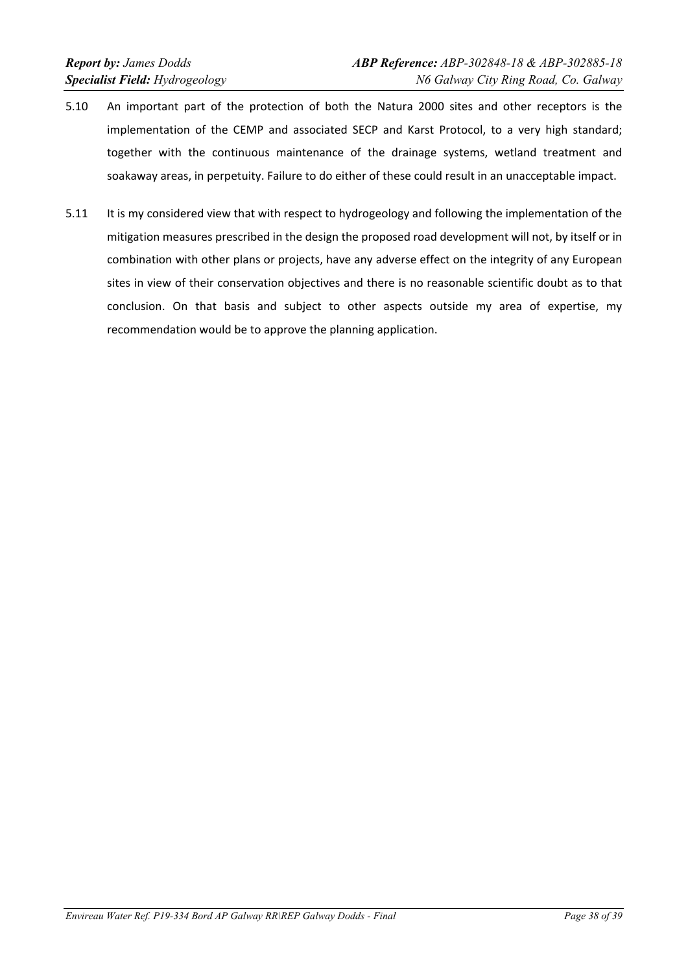- 5.10 An important part of the protection of both the Natura 2000 sites and other receptors is the implementation of the CEMP and associated SECP and Karst Protocol, to a very high standard; together with the continuous maintenance of the drainage systems, wetland treatment and soakaway areas, in perpetuity. Failure to do either of these could result in an unacceptable impact.
- 5.11 It is my considered view that with respect to hydrogeology and following the implementation of the mitigation measures prescribed in the design the proposed road development will not, by itself or in combination with other plans or projects, have any adverse effect on the integrity of any European sites in view of their conservation objectives and there is no reasonable scientific doubt as to that conclusion. On that basis and subject to other aspects outside my area of expertise, my recommendation would be to approve the planning application.